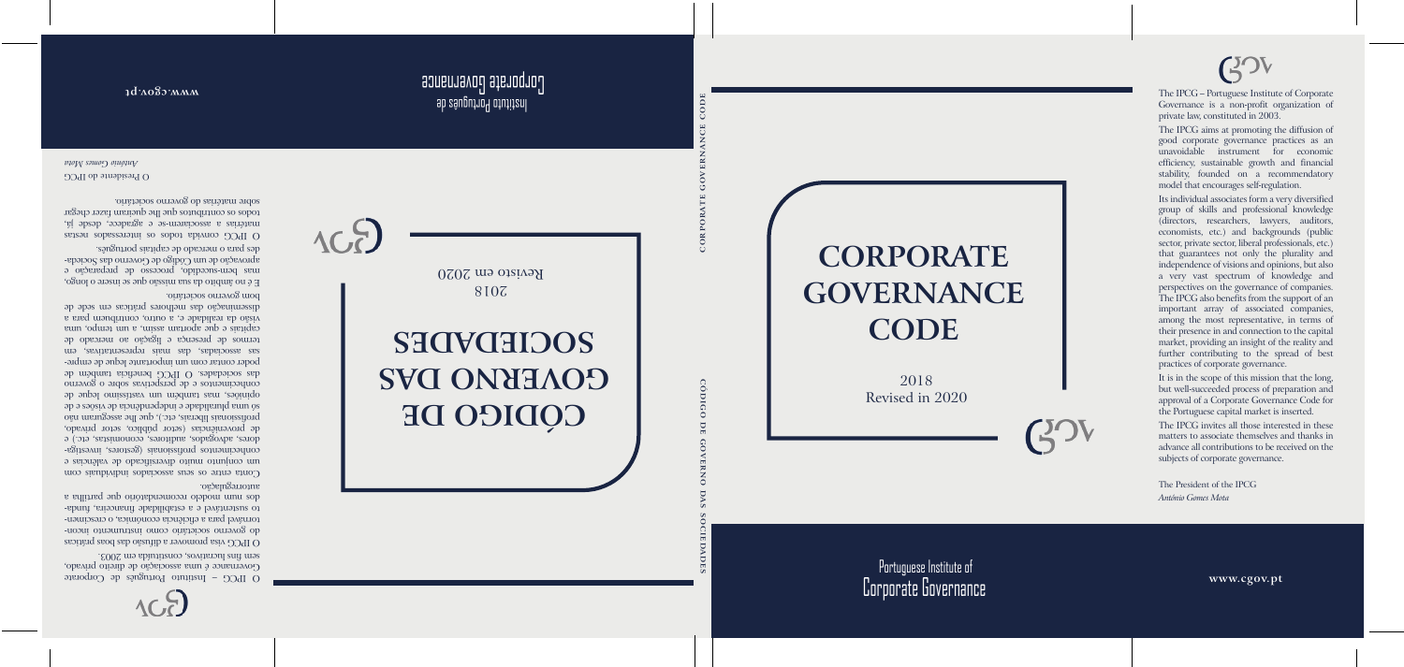

Portuguese Institute of Corporate Governance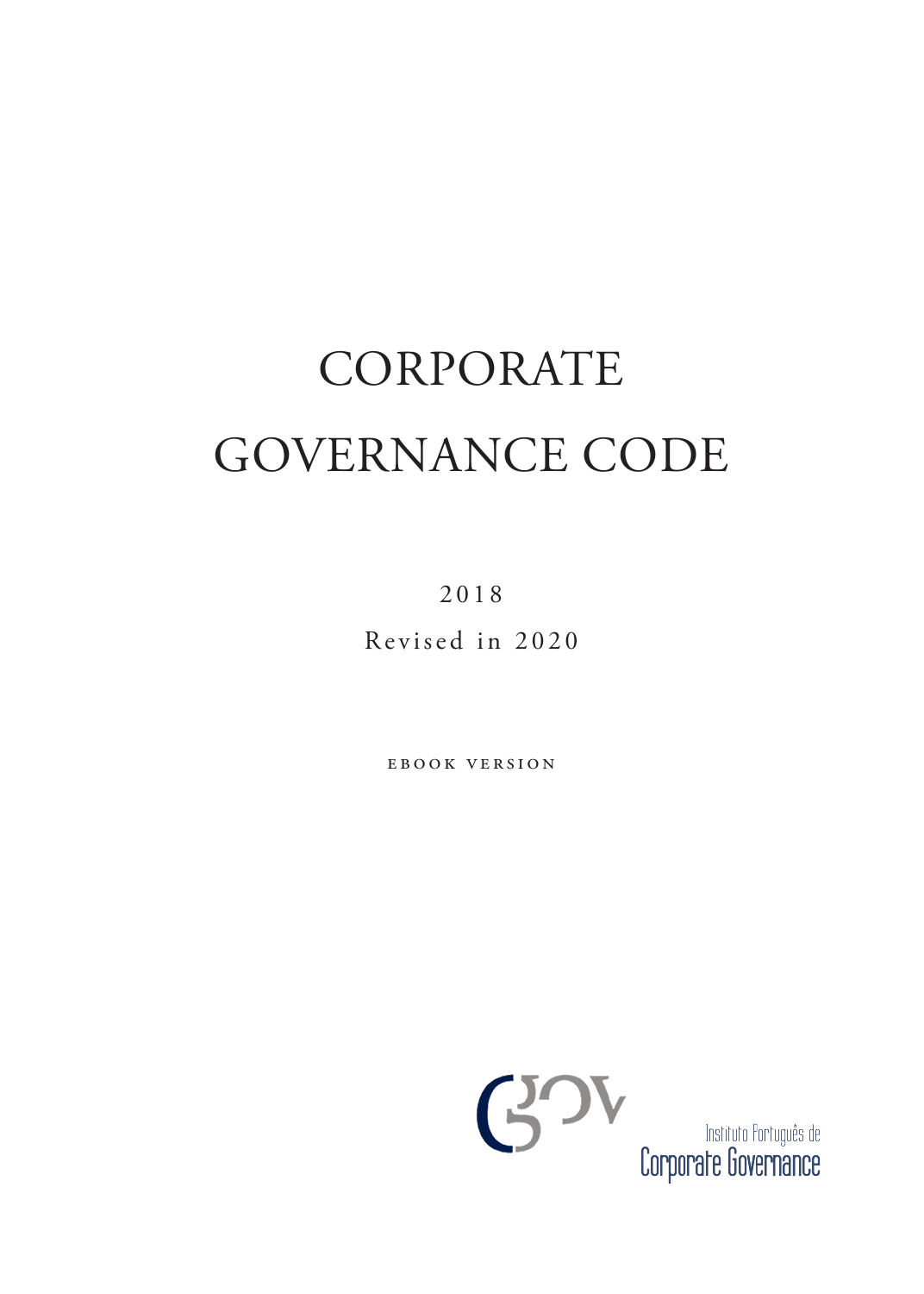# CORPORATE GOVERNANCE CODE

2018 Revised in 2020

ebook version

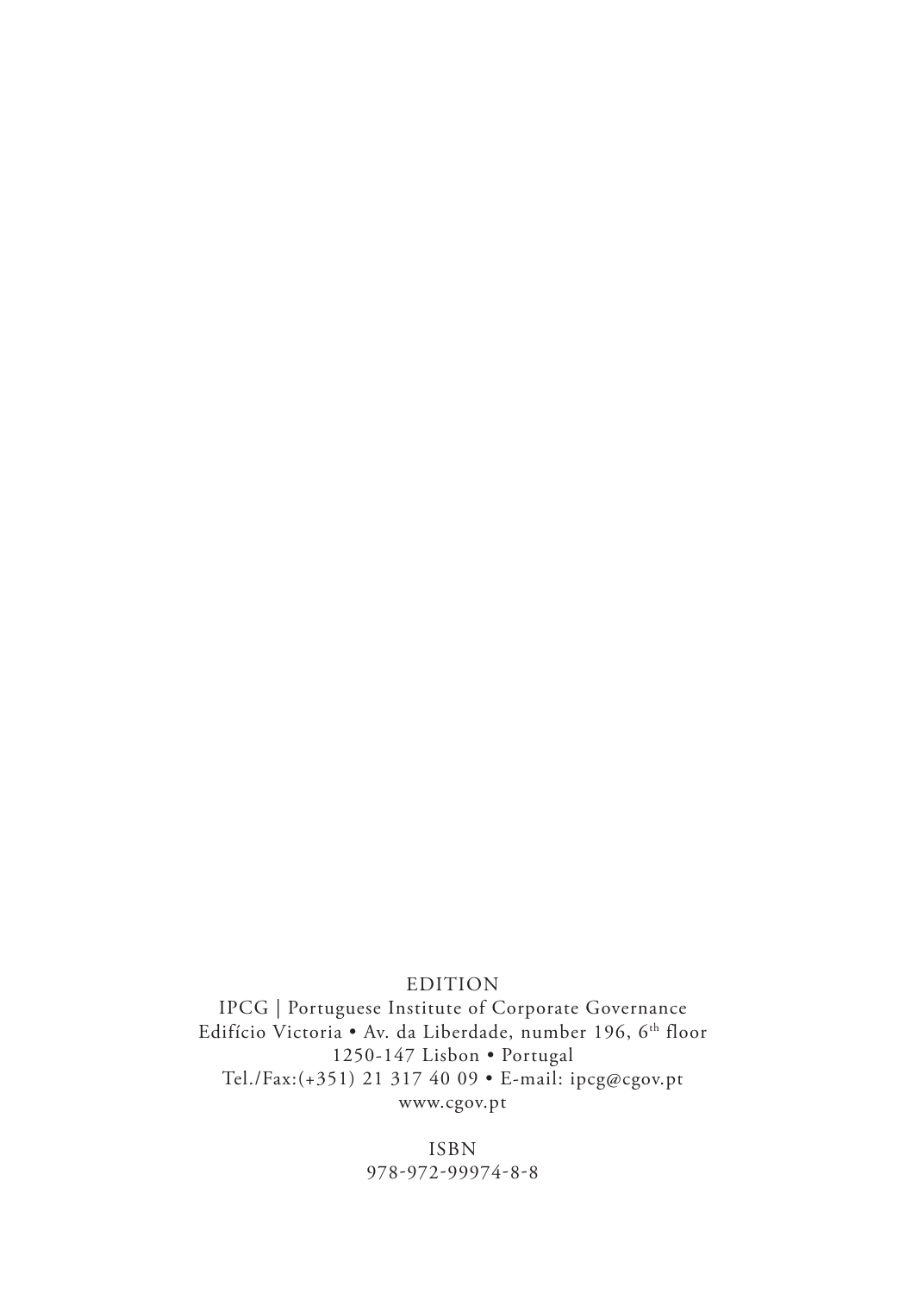#### EDITION

IPCG | Portuguese Institute of Corporate Governance Edifício Victoria • Av. da Liberdade, number 196, 6<sup>th</sup> floor 1250-147 Lisbon • Portugal Tel./Fax:(+351) 21 317 40 09 • E-mail: ipcg@cgov.pt www.cgov.pt

> ISBN 978-972-99974-8-8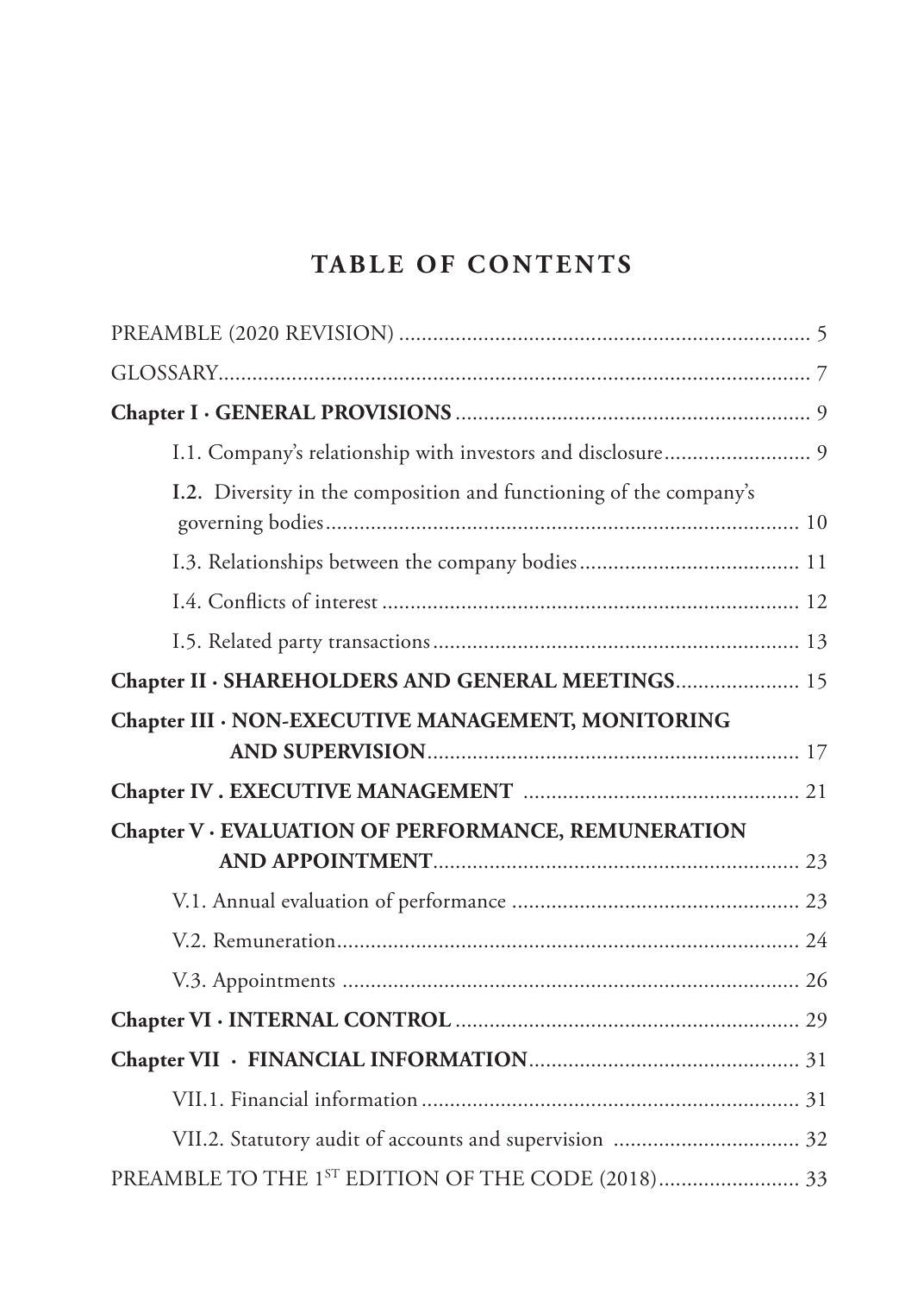## **TABLE OF CONTENTS**

| I.1. Company's relationship with investors and disclosure 9        |
|--------------------------------------------------------------------|
| I.2. Diversity in the composition and functioning of the company's |
|                                                                    |
|                                                                    |
|                                                                    |
| Chapter II · SHAREHOLDERS AND GENERAL MEETINGS 15                  |
| Chapter III · NON-EXECUTIVE MANAGEMENT, MONITORING                 |
|                                                                    |
|                                                                    |
| Chapter V · EVALUATION OF PERFORMANCE, REMUNERATION                |
|                                                                    |
|                                                                    |
|                                                                    |
|                                                                    |
|                                                                    |
|                                                                    |
|                                                                    |
|                                                                    |
|                                                                    |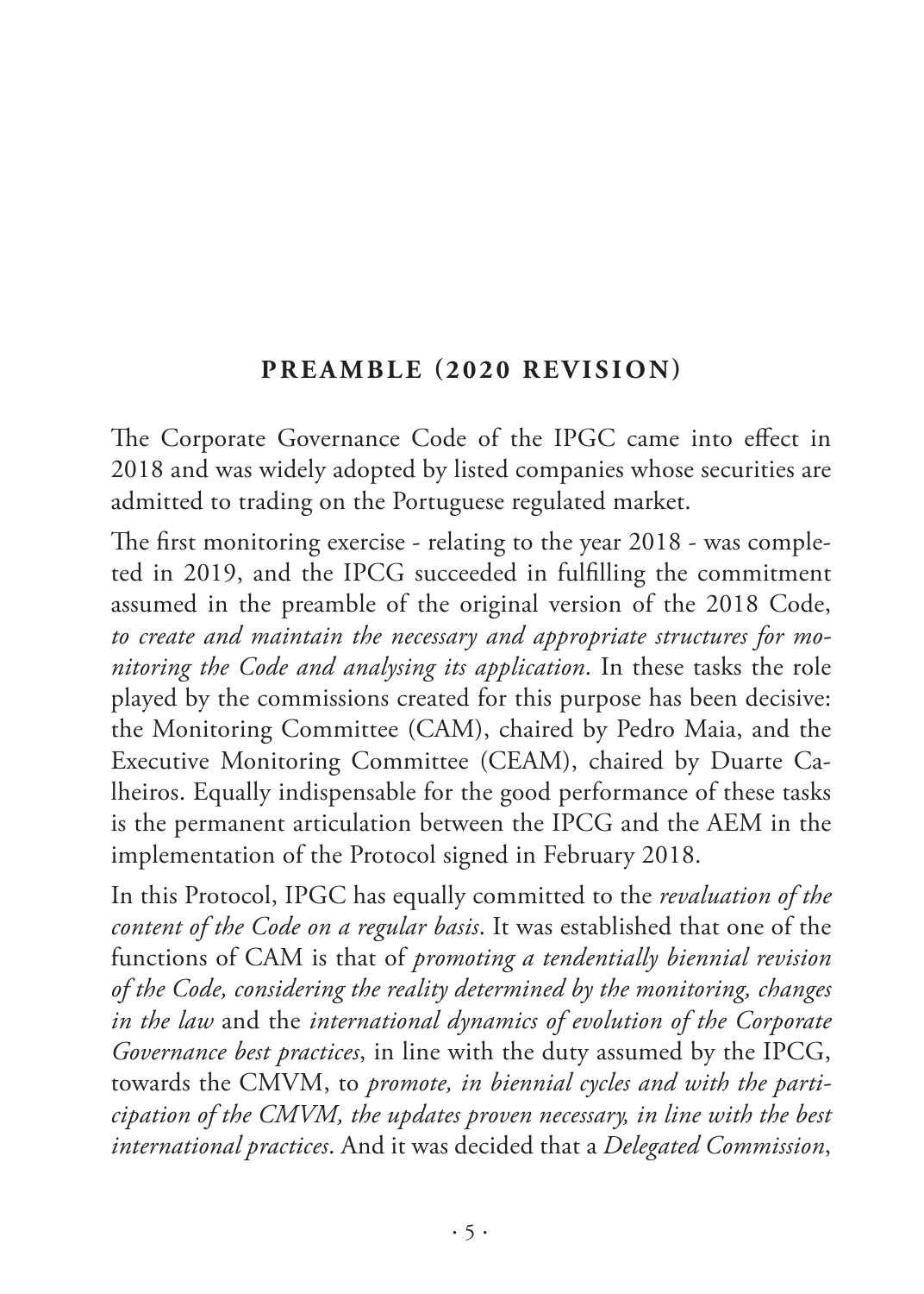#### **PREAMBLE (2020 REVISION)**

<span id="page-6-0"></span>The Corporate Governance Code of the IPGC came into effect in 2018 and was widely adopted by listed companies whose securities are admitted to trading on the Portuguese regulated market.

The first monitoring exercise - relating to the year 2018 - was completed in 2019, and the IPCG succeeded in fulfilling the commitment assumed in the preamble of the original version of the 2018 Code, *to create and maintain the necessary and appropriate structures for monitoring the Code and analysing its application*. In these tasks the role played by the commissions created for this purpose has been decisive: the Monitoring Committee (CAM), chaired by Pedro Maia, and the Executive Monitoring Committee (CEAM), chaired by Duarte Calheiros. Equally indispensable for the good performance of these tasks is the permanent articulation between the IPCG and the AEM in the implementation of the Protocol signed in February 2018.

In this Protocol, IPGC has equally committed to the *revaluation of the content of the Code on a regular basis*. It was established that one of the functions of CAM is that of *promoting a tendentially biennial revision of the Code, considering the reality determined by the monitoring, changes in the law* and the *international dynamics of evolution of the Corporate Governance best practices*, in line with the duty assumed by the IPCG, towards the CMVM, to *promote, in biennial cycles and with the participation of the CMVM, the updates proven necessary, in line with the best international practices*. And it was decided that a *Delegated Commission*,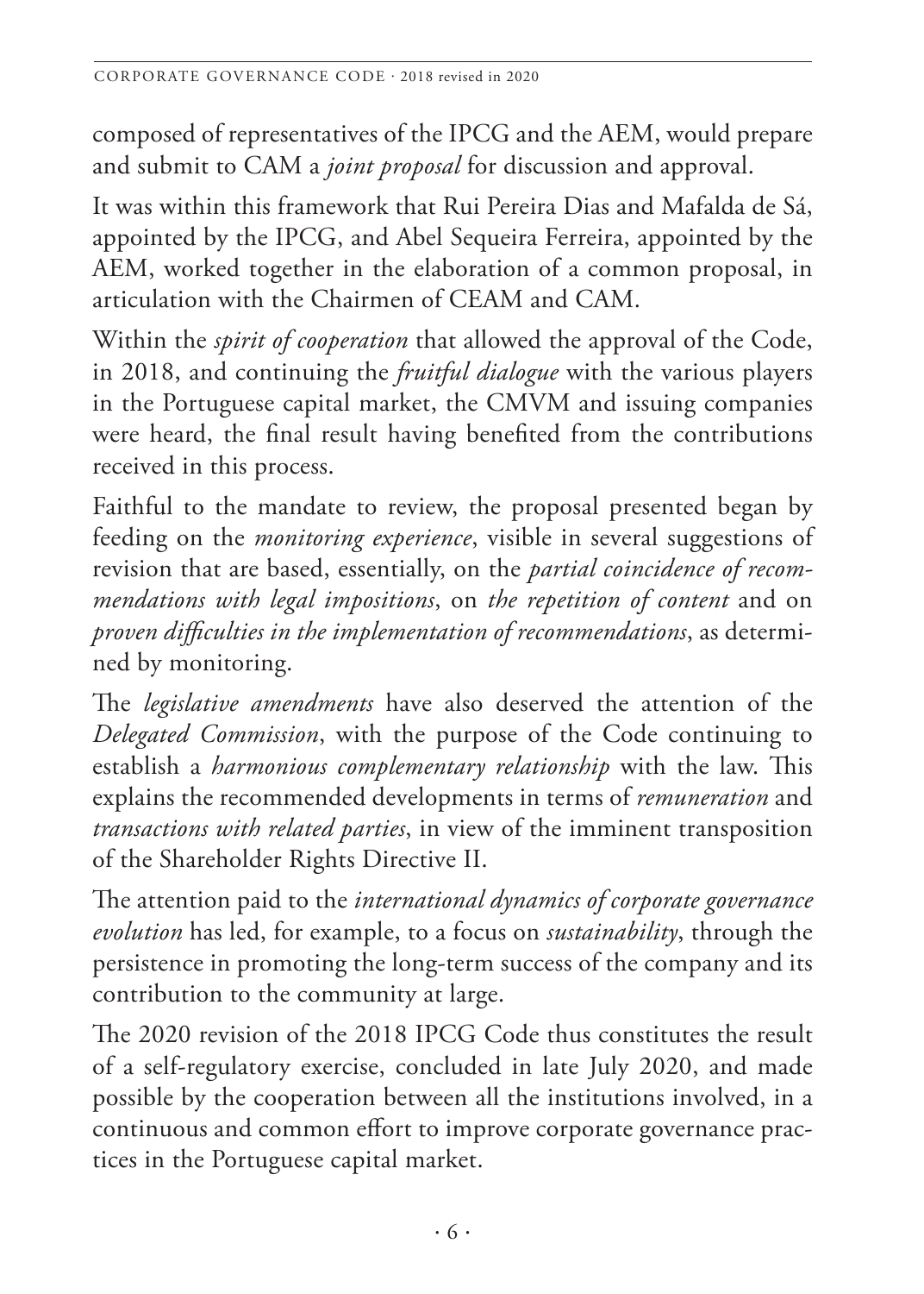composed of representatives of the IPCG and the AEM, would prepare and submit to CAM a *joint proposal* for discussion and approval.

It was within this framework that Rui Pereira Dias and Mafalda de Sá, appointed by the IPCG, and Abel Sequeira Ferreira, appointed by the AEM, worked together in the elaboration of a common proposal, in articulation with the Chairmen of CEAM and CAM.

Within the *spirit of cooperation* that allowed the approval of the Code, in 2018, and continuing the *fruitful dialogue* with the various players in the Portuguese capital market, the CMVM and issuing companies were heard, the final result having benefited from the contributions received in this process.

Faithful to the mandate to review, the proposal presented began by feeding on the *monitoring experience*, visible in several suggestions of revision that are based, essentially, on the *partial coincidence of recommendations with legal impositions*, on *the repetition of content* and on *proven difficulties in the implementation of recommendations*, as determined by monitoring.

The *legislative amendments* have also deserved the attention of the *Delegated Commission*, with the purpose of the Code continuing to establish a *harmonious complementary relationship* with the law. This explains the recommended developments in terms of *remuneration* and *transactions with related parties*, in view of the imminent transposition of the Shareholder Rights Directive II.

The attention paid to the *international dynamics of corporate governance evolution* has led, for example, to a focus on *sustainability*, through the persistence in promoting the long-term success of the company and its contribution to the community at large.

The 2020 revision of the 2018 IPCG Code thus constitutes the result of a self-regulatory exercise, concluded in late July 2020, and made possible by the cooperation between all the institutions involved, in a continuous and common effort to improve corporate governance practices in the Portuguese capital market.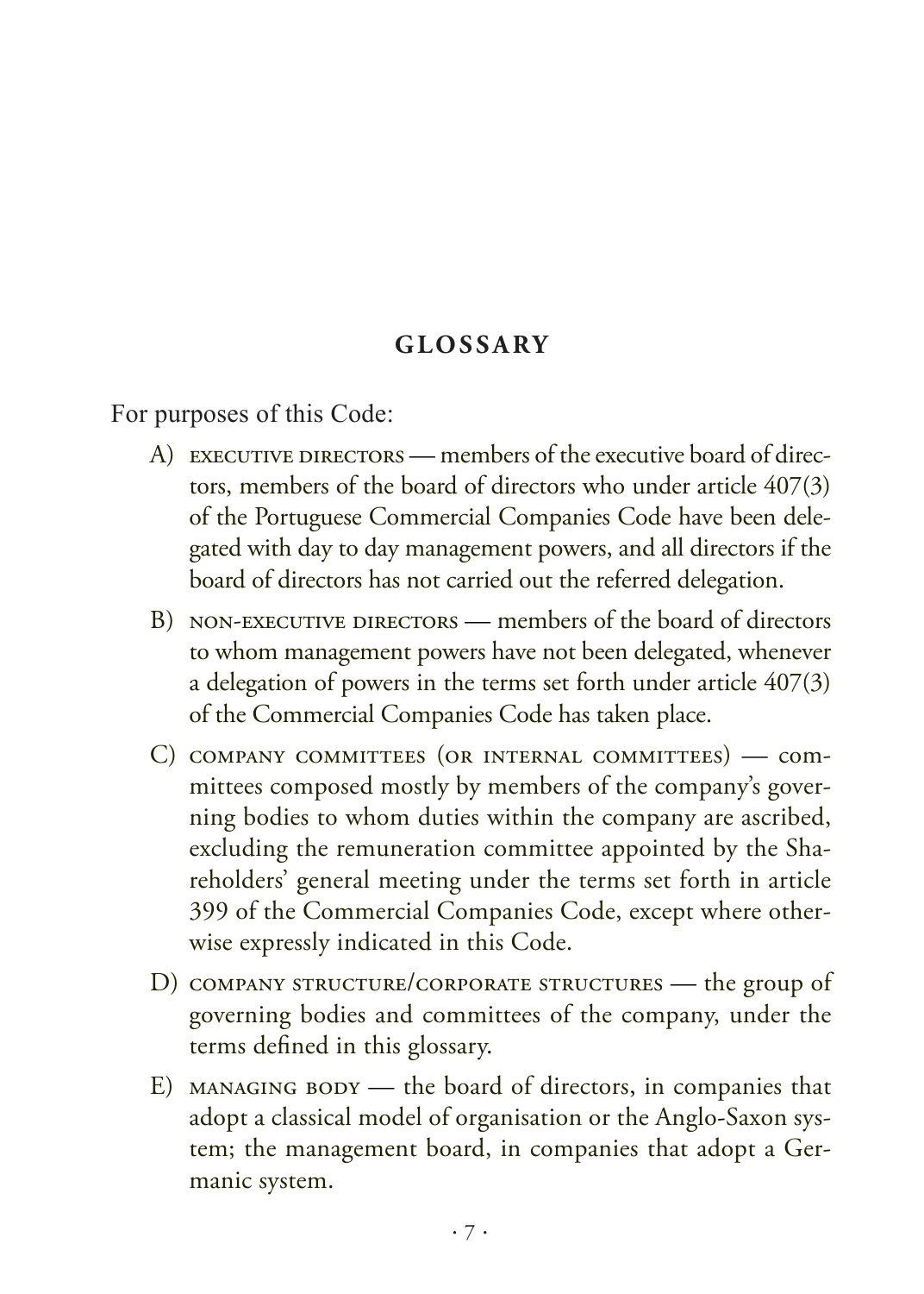#### **GLOSSARY**

<span id="page-8-0"></span>For purposes of this Code:

- A) EXECUTIVE DIRECTORS members of the executive board of directors, members of the board of directors who under article 407(3) of the Portuguese Commercial Companies Code have been delegated with day to day management powers, and all directors if the board of directors has not carried out the referred delegation.
- B) NON-EXECUTIVE DIRECTORS members of the board of directors to whom management powers have not been delegated, whenever a delegation of powers in the terms set forth under article 407(3) of the Commercial Companies Code has taken place.
- C) company committees (or internal committees) committees composed mostly by members of the company's governing bodies to whom duties within the company are ascribed, excluding the remuneration committee appointed by the Shareholders' general meeting under the terms set forth in article 399 of the Commercial Companies Code, except where otherwise expressly indicated in this Code.
- D) company structure/corporate structures the group of governing bodies and committees of the company, under the terms defined in this glossary.
- E) MANAGING BODY the board of directors, in companies that adopt a classical model of organisation or the Anglo-Saxon system; the management board, in companies that adopt a Germanic system.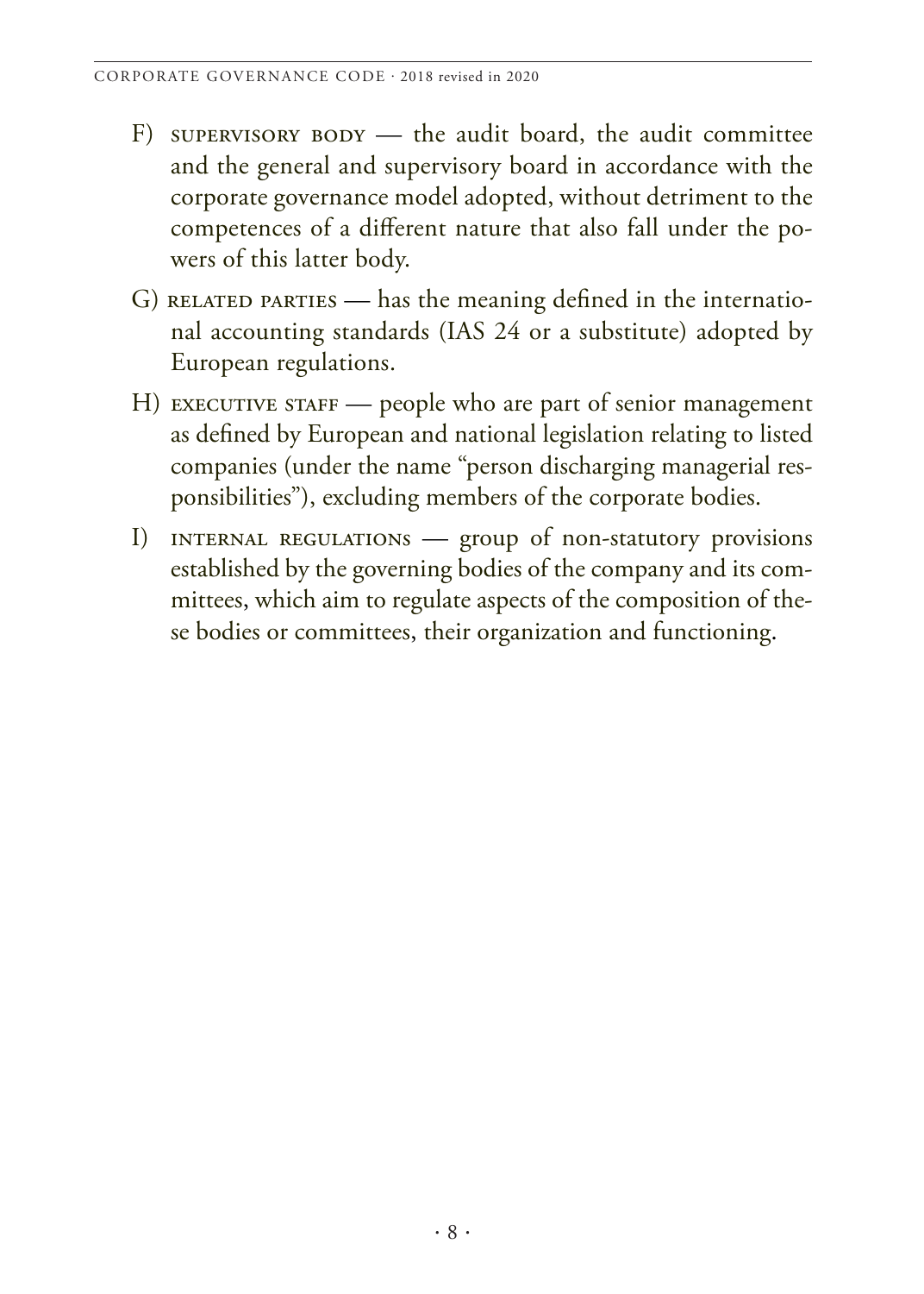- F) supervisory  $BODY$  the audit board, the audit committee and the general and supervisory board in accordance with the corporate governance model adopted, without detriment to the competences of a different nature that also fall under the powers of this latter body.
- G) RELATED PARTIES has the meaning defined in the international accounting standards (IAS 24 or a substitute) adopted by European regulations.
- H) EXECUTIVE STAFF people who are part of senior management as defined by European and national legislation relating to listed companies (under the name "person discharging managerial responsibilities"), excluding members of the corporate bodies.
- I) internal regulations group of non-statutory provisions established by the governing bodies of the company and its committees, which aim to regulate aspects of the composition of these bodies or committees, their organization and functioning.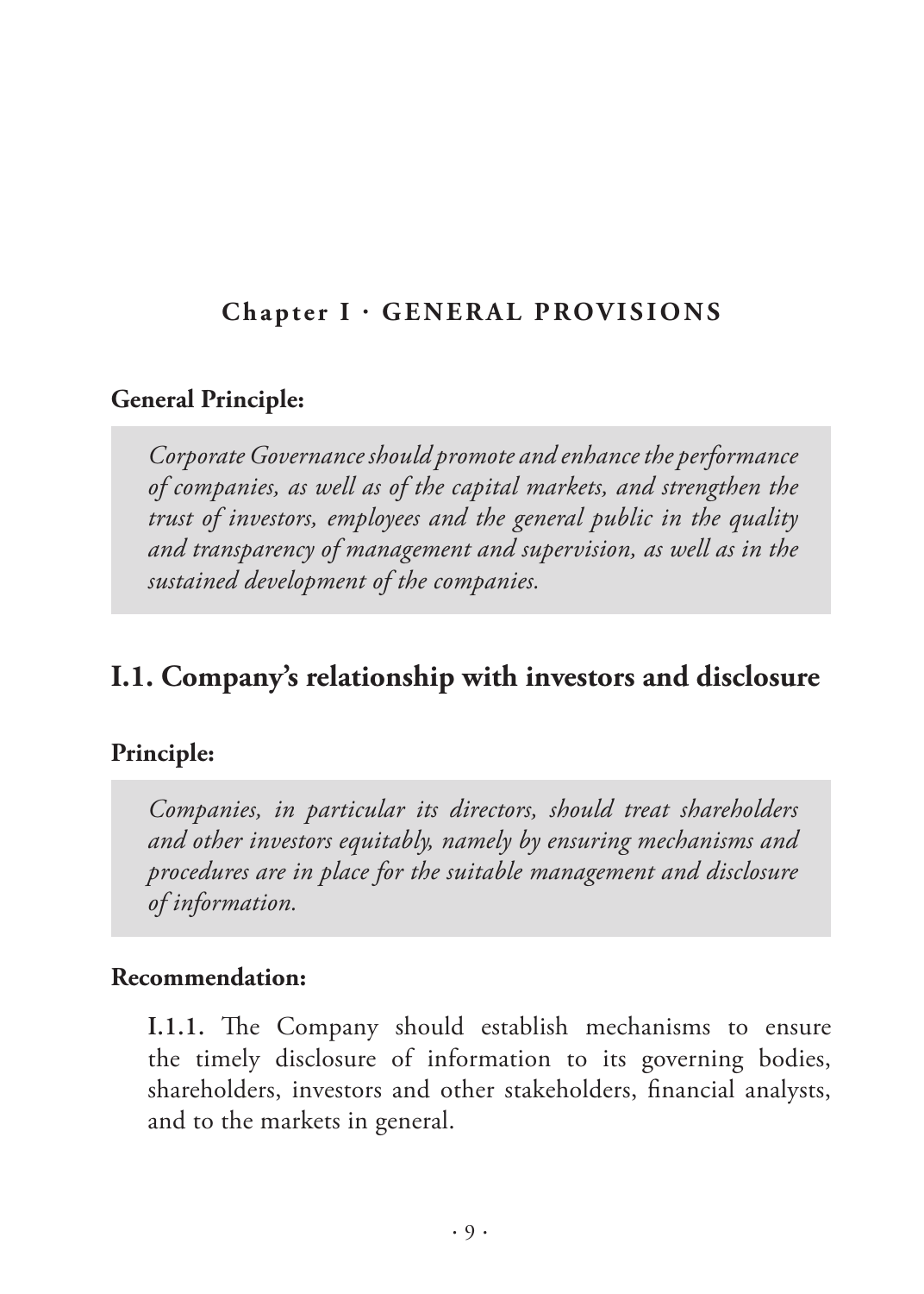#### <span id="page-10-0"></span>**Chapter I · GENERAL PROVISIONS**

#### **General Principle:**

*Corporate Governance should promote and enhance the performance of companies, as well as of the capital markets, and strengthen the trust of investors, employees and the general public in the quality and transparency of management and supervision, as well as in the sustained development of the companies.*

## **I.1. Company's relationship with investors and disclosure**

#### **Principle:**

*Companies, in particular its directors, should treat shareholders and other investors equitably, namely by ensuring mechanisms and procedures are in place for the suitable management and disclosure of information.* 

#### **Recommendation:**

**I.1.1.** The Company should establish mechanisms to ensure the timely disclosure of information to its governing bodies, shareholders, investors and other stakeholders, financial analysts, and to the markets in general.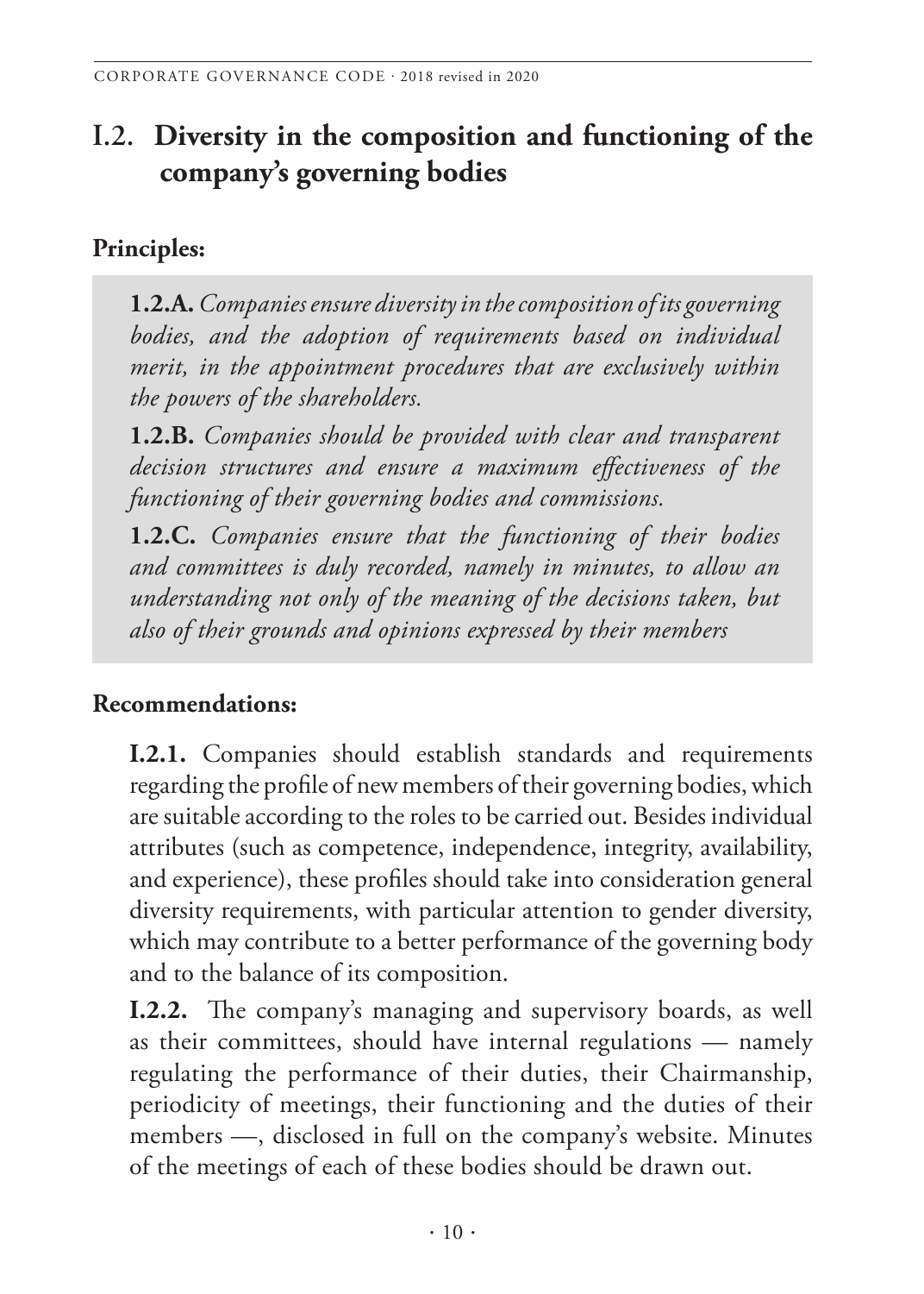# <span id="page-11-0"></span>**I.2. Diversity in the composition and functioning of the company's governing bodies**

## **Principles:**

**1.2.A.** *Companies ensure diversity in the composition of its governing bodies, and the adoption of requirements based on individual merit, in the appointment procedures that are exclusively within the powers of the shareholders.* 

**1.2.B.** *Companies should be provided with clear and transparent decision structures and ensure a maximum effectiveness of the functioning of their governing bodies and commissions.* 

**1.2.C.** *Companies ensure that the functioning of their bodies and committees is duly recorded, namely in minutes, to allow an understanding not only of the meaning of the decisions taken, but also of their grounds and opinions expressed by their members*

## **Recommendations:**

**I.2.1.** Companies should establish standards and requirements regarding the profile of new members of their governing bodies, which are suitable according to the roles to be carried out. Besides individual attributes (such as competence, independence, integrity, availability, and experience), these profiles should take into consideration general diversity requirements, with particular attention to gender diversity, which may contribute to a better performance of the governing body and to the balance of its composition.

**I.2.2.** The company's managing and supervisory boards, as well as their committees, should have internal regulations — namely regulating the performance of their duties, their Chairmanship, periodicity of meetings, their functioning and the duties of their members —, disclosed in full on the company's website. Minutes of the meetings of each of these bodies should be drawn out.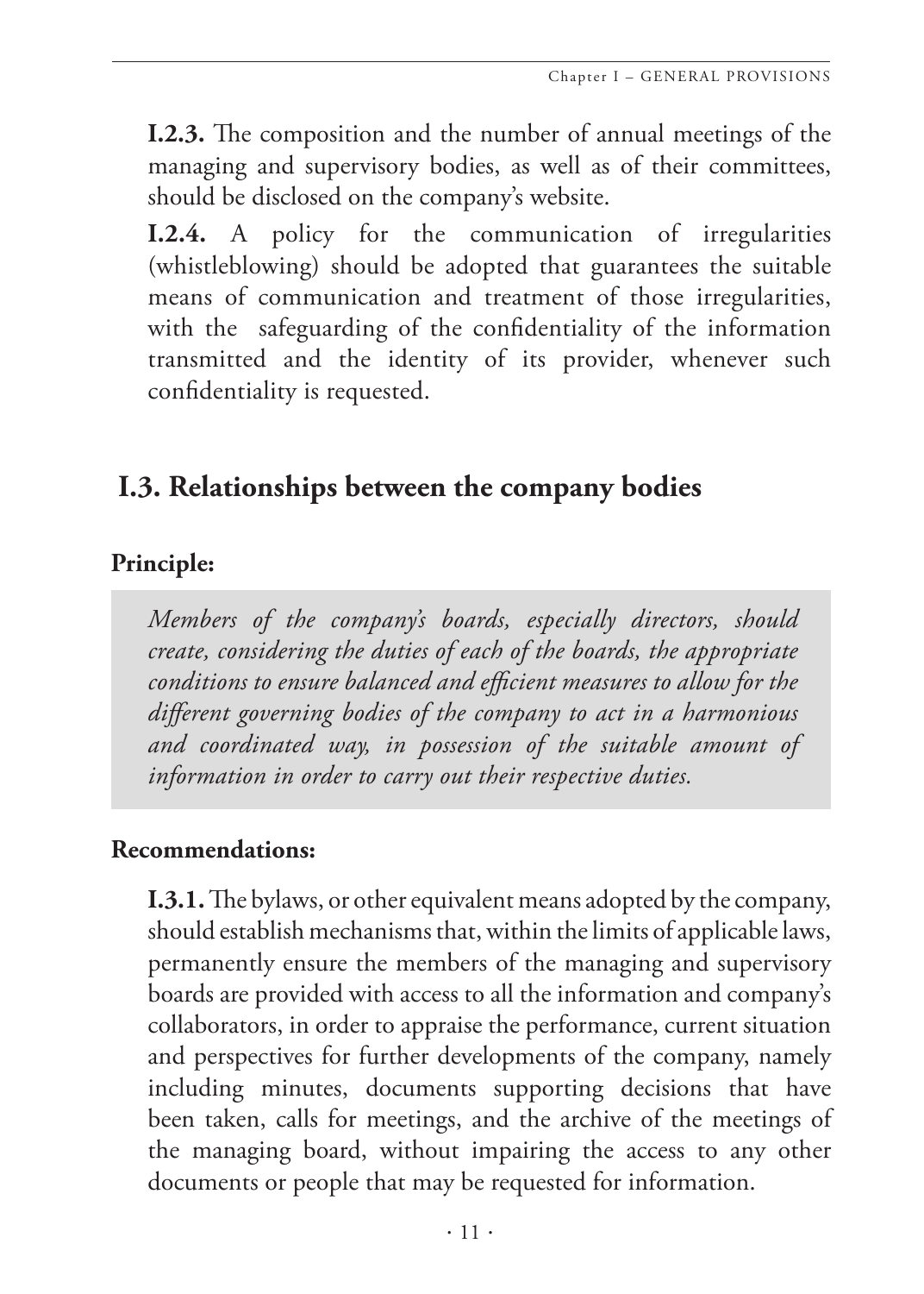<span id="page-12-0"></span>**I.2.3.** The composition and the number of annual meetings of the managing and supervisory bodies, as well as of their committees, should be disclosed on the company's website.

**I.2.4.** A policy for the communication of irregularities (whistleblowing) should be adopted that guarantees the suitable means of communication and treatment of those irregularities, with the safeguarding of the confidentiality of the information transmitted and the identity of its provider, whenever such confidentiality is requested.

# **I.3. Relationships between the company bodies**

#### **Principle:**

*Members of the company's boards, especially directors, should create, considering the duties of each of the boards, the appropriate conditions to ensure balanced and efficient measures to allow for the different governing bodies of the company to act in a harmonious and coordinated way, in possession of the suitable amount of information in order to carry out their respective duties.*

#### **Recommendations:**

**I.3.1.** The bylaws, or other equivalent means adopted by the company, should establish mechanisms that, within the limits of applicable laws, permanently ensure the members of the managing and supervisory boards are provided with access to all the information and company's collaborators, in order to appraise the performance, current situation and perspectives for further developments of the company, namely including minutes, documents supporting decisions that have been taken, calls for meetings, and the archive of the meetings of the managing board, without impairing the access to any other documents or people that may be requested for information.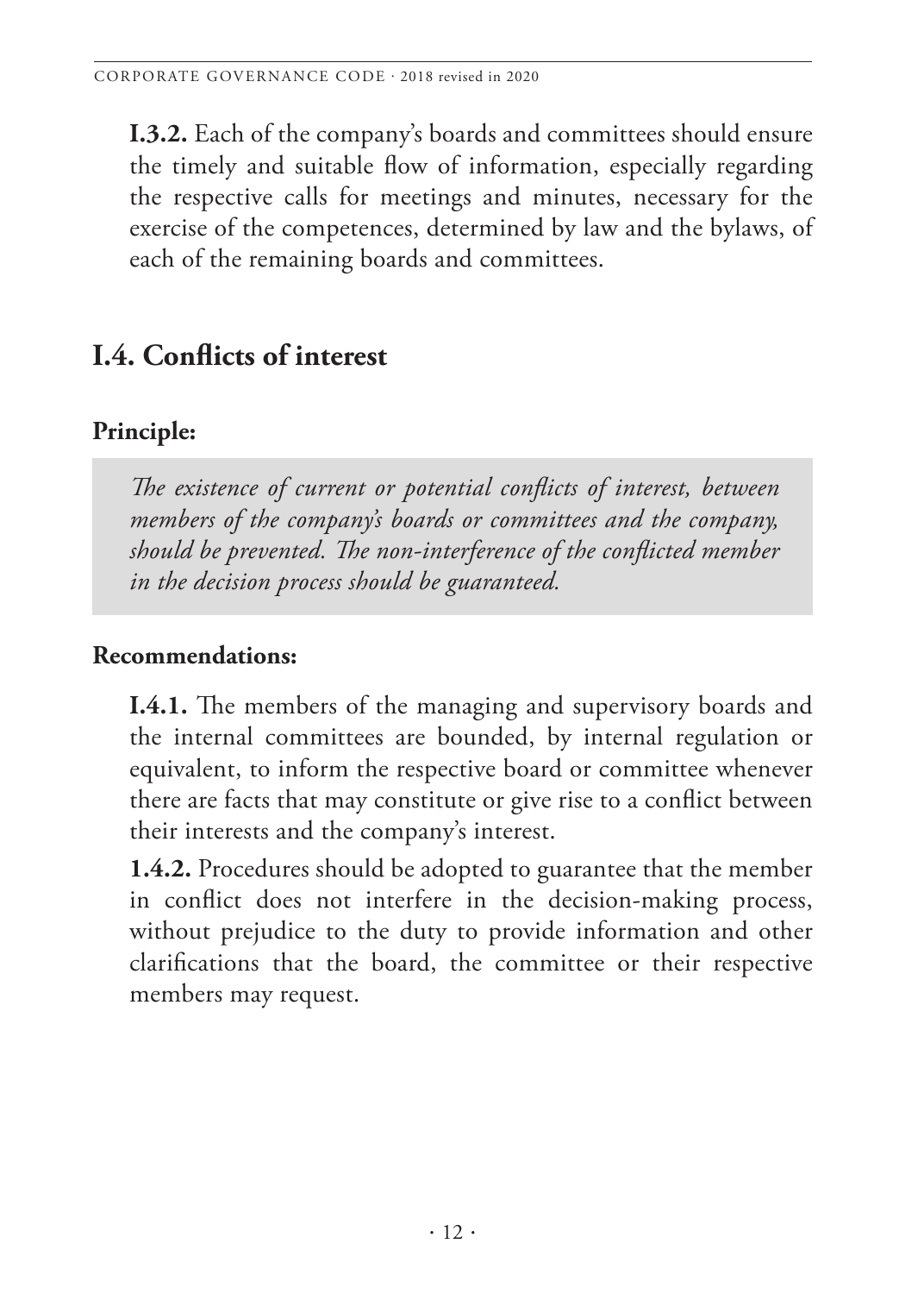<span id="page-13-0"></span>**I.3.2.** Each of the company's boards and committees should ensure the timely and suitable flow of information, especially regarding the respective calls for meetings and minutes, necessary for the exercise of the competences, determined by law and the bylaws, of each of the remaining boards and committees.

# **I.4. Conflicts of interest**

## **Principle:**

*The existence of current or potential conflicts of interest, between members of the company's boards or committees and the company, should be prevented. The non-interference of the conflicted member in the decision process should be guaranteed.* 

## **Recommendations:**

**I.4.1.** The members of the managing and supervisory boards and the internal committees are bounded, by internal regulation or equivalent, to inform the respective board or committee whenever there are facts that may constitute or give rise to a conflict between their interests and the company's interest.

**1.4.2.** Procedures should be adopted to guarantee that the member in conflict does not interfere in the decision-making process, without prejudice to the duty to provide information and other clarifications that the board, the committee or their respective members may request.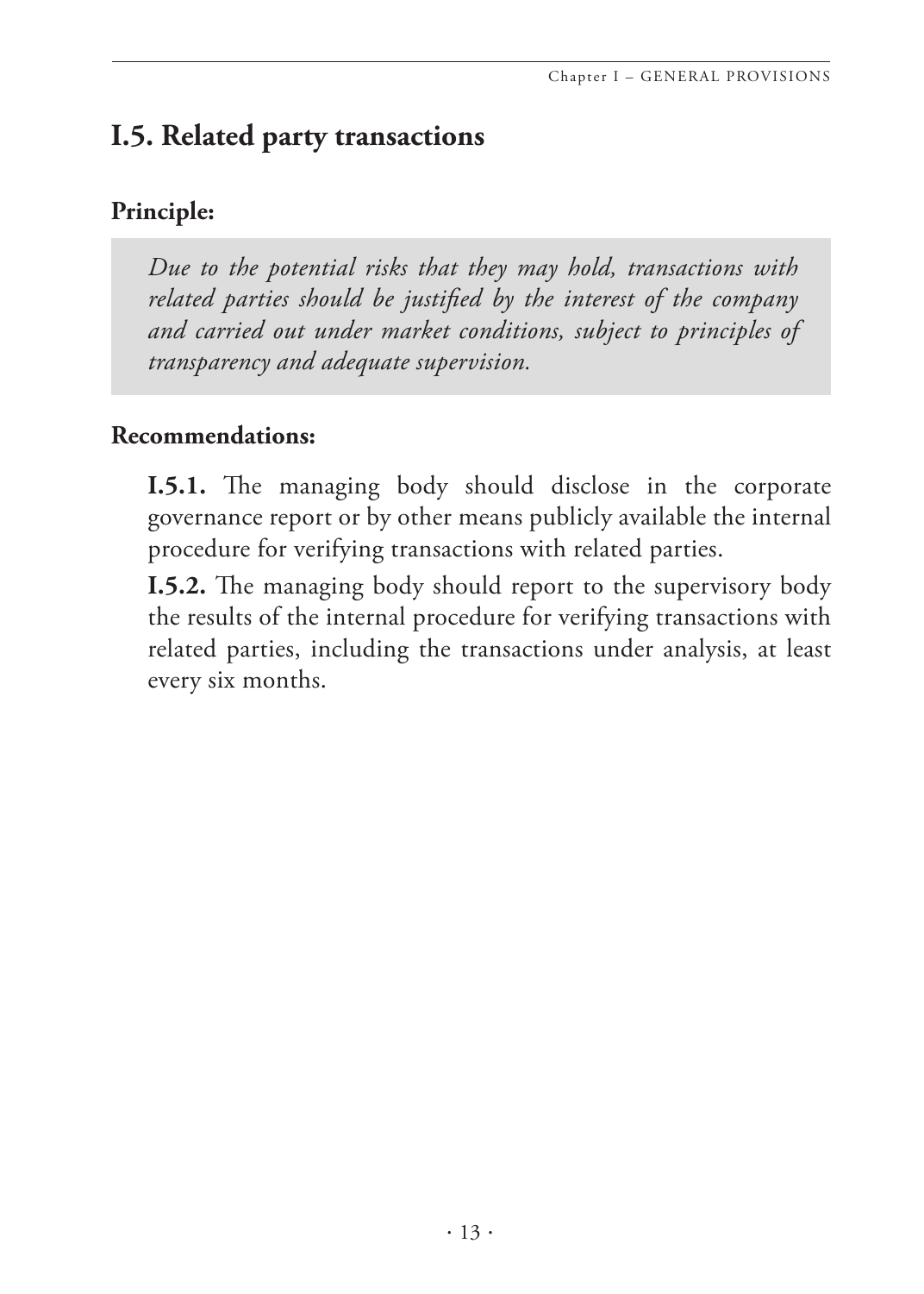# <span id="page-14-0"></span>**I.5. Related party transactions**

## **Principle:**

*Due to the potential risks that they may hold, transactions with related parties should be justified by the interest of the company and carried out under market conditions, subject to principles of transparency and adequate supervision.* 

#### **Recommendations:**

**I.5.1.** The managing body should disclose in the corporate governance report or by other means publicly available the internal procedure for verifying transactions with related parties.

**I.5.2.** The managing body should report to the supervisory body the results of the internal procedure for verifying transactions with related parties, including the transactions under analysis, at least every six months.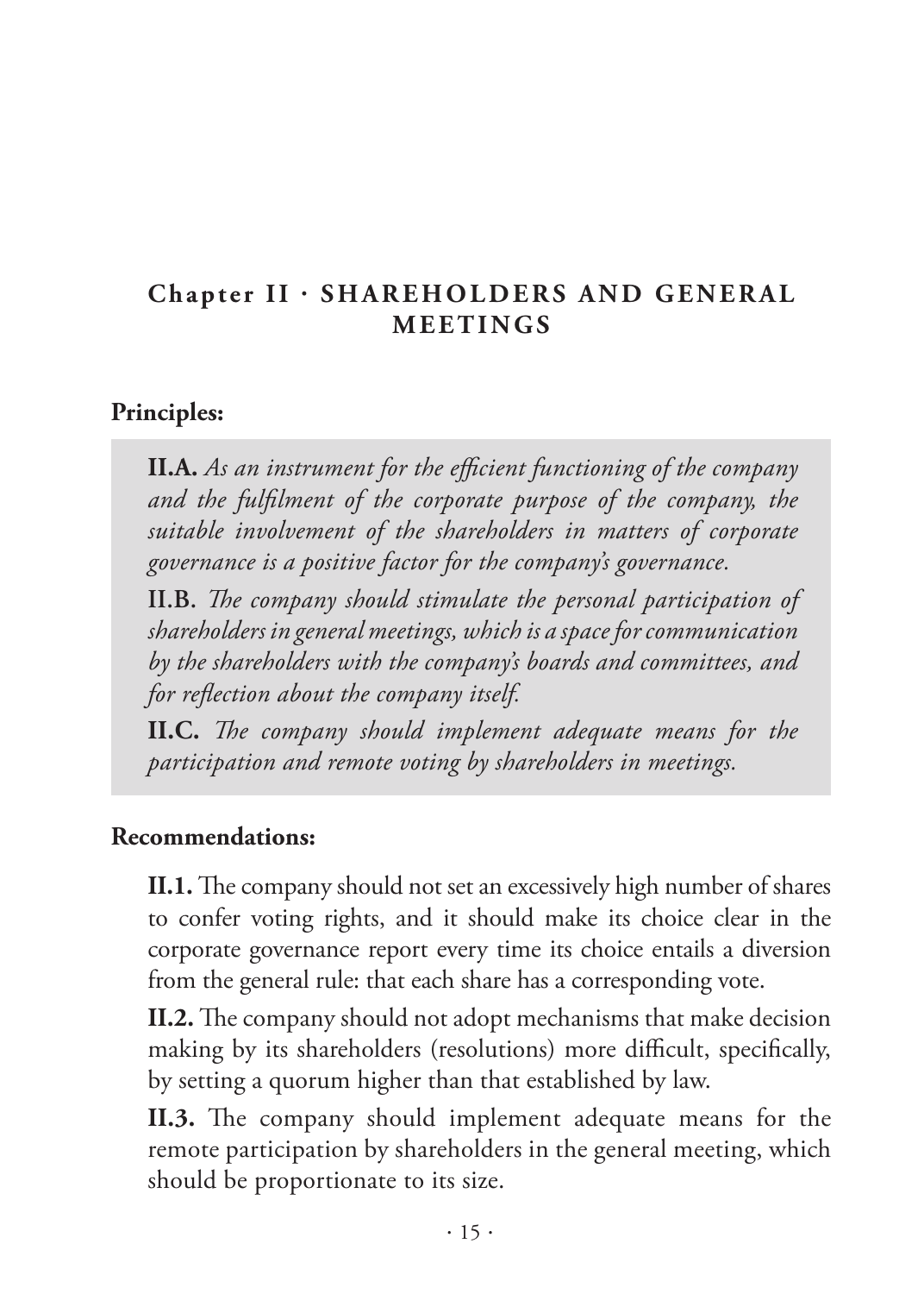## <span id="page-16-0"></span>**Chapter II · SHAREHOLDERS AND GENERAL MEETINGS**

#### **Principles:**

**II.A.** *As an instrument for the efficient functioning of the company and the fulfilment of the corporate purpose of the company, the suitable involvement of the shareholders in matters of corporate governance is a positive factor for the company's governance.* 

**II.B.** *The company should stimulate the personal participation of shareholders in general meetings, which is a space for communication by the shareholders with the company's boards and committees, and for reflection about the company itself.* 

**II.C.** *The company should implement adequate means for the participation and remote voting by shareholders in meetings.* 

#### **Recommendations:**

**II.1.** The company should not set an excessively high number of shares to confer voting rights, and it should make its choice clear in the corporate governance report every time its choice entails a diversion from the general rule: that each share has a corresponding vote.

**II.2.** The company should not adopt mechanisms that make decision making by its shareholders (resolutions) more difficult, specifically, by setting a quorum higher than that established by law.

**II.3.** The company should implement adequate means for the remote participation by shareholders in the general meeting, which should be proportionate to its size.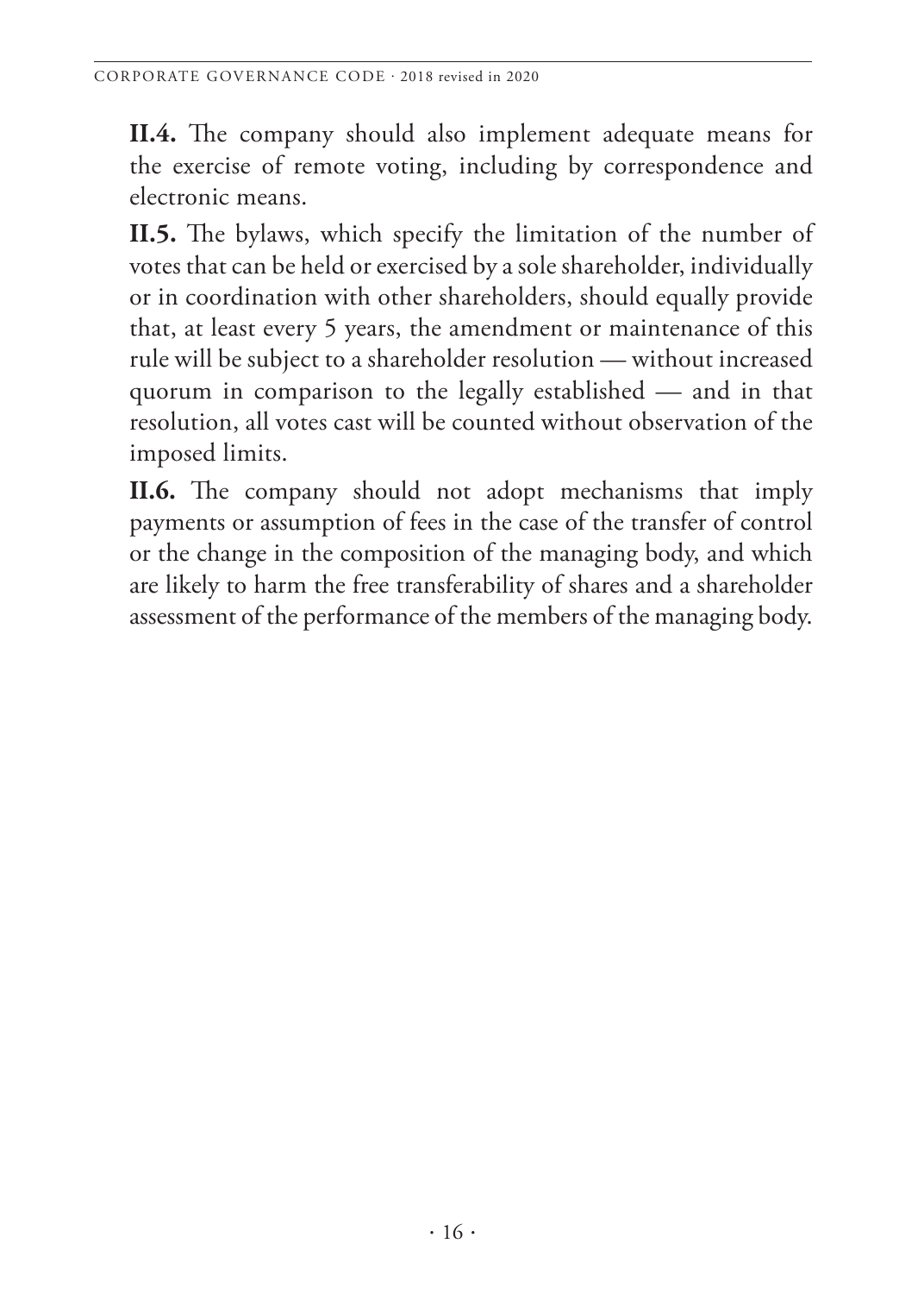**II.4.** The company should also implement adequate means for the exercise of remote voting, including by correspondence and electronic means.

**II.5.** The bylaws, which specify the limitation of the number of votes that can be held or exercised by a sole shareholder, individually or in coordination with other shareholders, should equally provide that, at least every 5 years, the amendment or maintenance of this rule will be subject to a shareholder resolution — without increased quorum in comparison to the legally established — and in that resolution, all votes cast will be counted without observation of the imposed limits.

**II.6.** The company should not adopt mechanisms that imply payments or assumption of fees in the case of the transfer of control or the change in the composition of the managing body, and which are likely to harm the free transferability of shares and a shareholder assessment of the performance of the members of the managing body.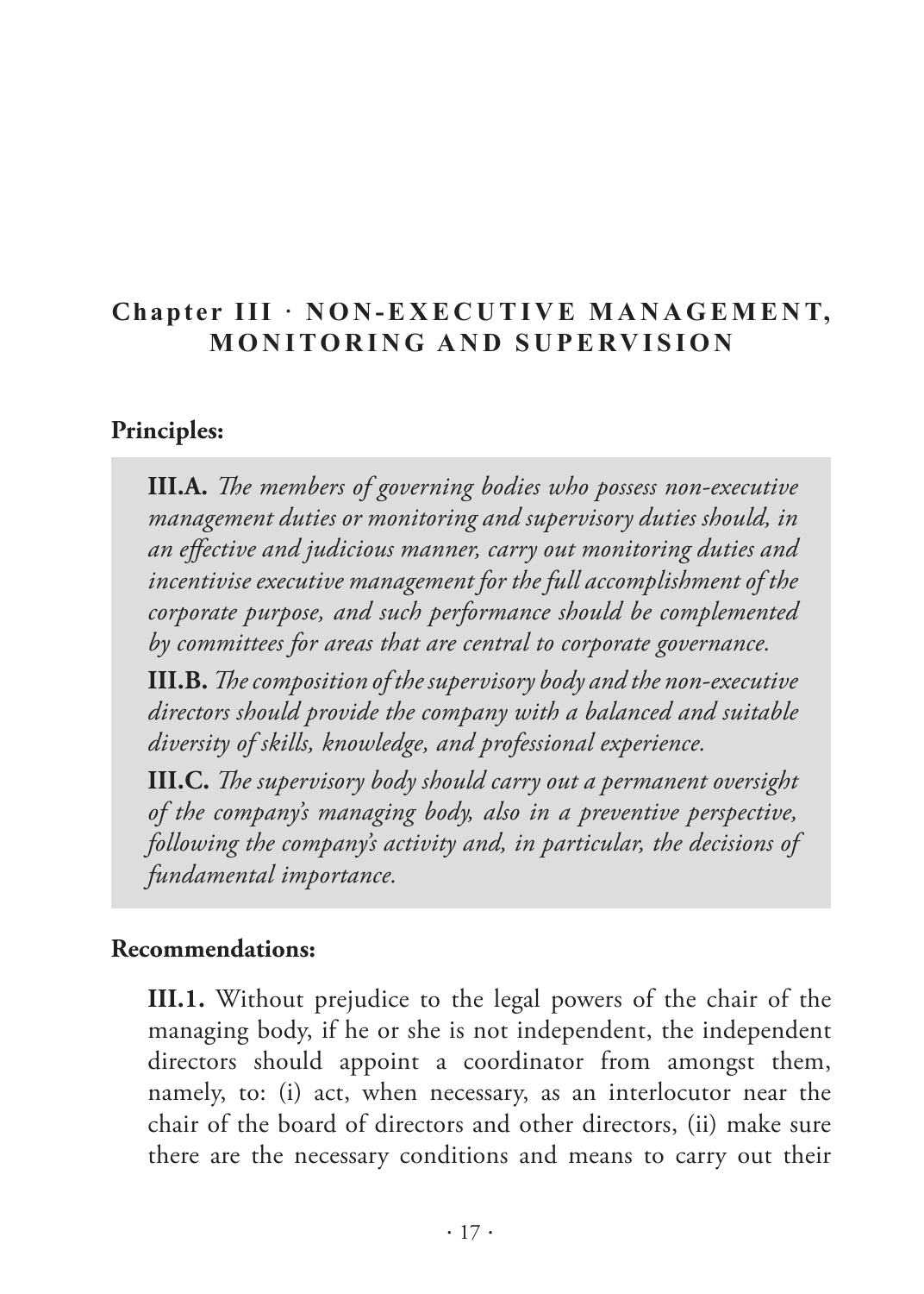## <span id="page-18-0"></span>Chapter III · NON-EXECUTIVE MANAGEMENT, **MONITORING AND SUPERVISION**

#### **Principles:**

**III.A.** *The members of governing bodies who possess non-executive management duties or monitoring and supervisory duties should, in an effective and judicious manner, carry out monitoring duties and incentivise executive management for the full accomplishment of the corporate purpose, and such performance should be complemented by committees for areas that are central to corporate governance.* 

**III.B.** *The composition of the supervisory body and the non-executive directors should provide the company with a balanced and suitable diversity of skills, knowledge, and professional experience.* 

**III.C.** *The supervisory body should carry out a permanent oversight of the company's managing body, also in a preventive perspective, following the company's activity and, in particular, the decisions of fundamental importance.* 

#### **Recommendations:**

**III.1.** Without prejudice to the legal powers of the chair of the managing body, if he or she is not independent, the independent directors should appoint a coordinator from amongst them, namely, to: (i) act, when necessary, as an interlocutor near the chair of the board of directors and other directors, (ii) make sure there are the necessary conditions and means to carry out their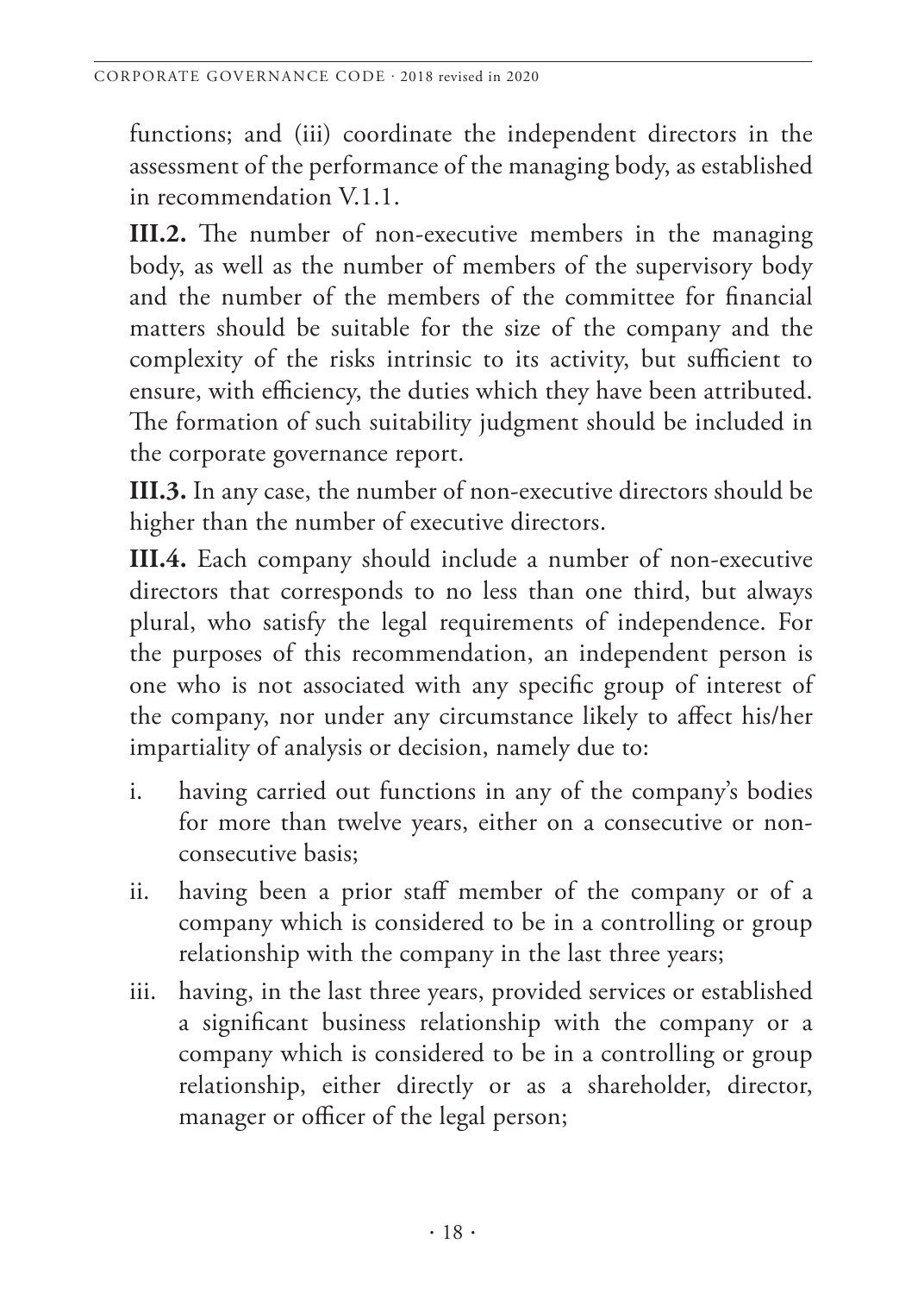functions; and (iii) coordinate the independent directors in the assessment of the performance of the managing body, as established in recommendation V.1.1.

**III.2.** The number of non-executive members in the managing body, as well as the number of members of the supervisory body and the number of the members of the committee for financial matters should be suitable for the size of the company and the complexity of the risks intrinsic to its activity, but sufficient to ensure, with efficiency, the duties which they have been attributed. The formation of such suitability judgment should be included in the corporate governance report.

**III.3.** In any case, the number of non-executive directors should be higher than the number of executive directors.

**III.4.** Each company should include a number of non-executive directors that corresponds to no less than one third, but always plural, who satisfy the legal requirements of independence. For the purposes of this recommendation, an independent person is one who is not associated with any specific group of interest of the company, nor under any circumstance likely to affect his/her impartiality of analysis or decision, namely due to:

- i. having carried out functions in any of the company's bodies for more than twelve years, either on a consecutive or nonconsecutive basis;
- ii. having been a prior staff member of the company or of a company which is considered to be in a controlling or group relationship with the company in the last three years;
- iii. having, in the last three years, provided services or established a significant business relationship with the company or a company which is considered to be in a controlling or group relationship, either directly or as a shareholder, director, manager or officer of the legal person;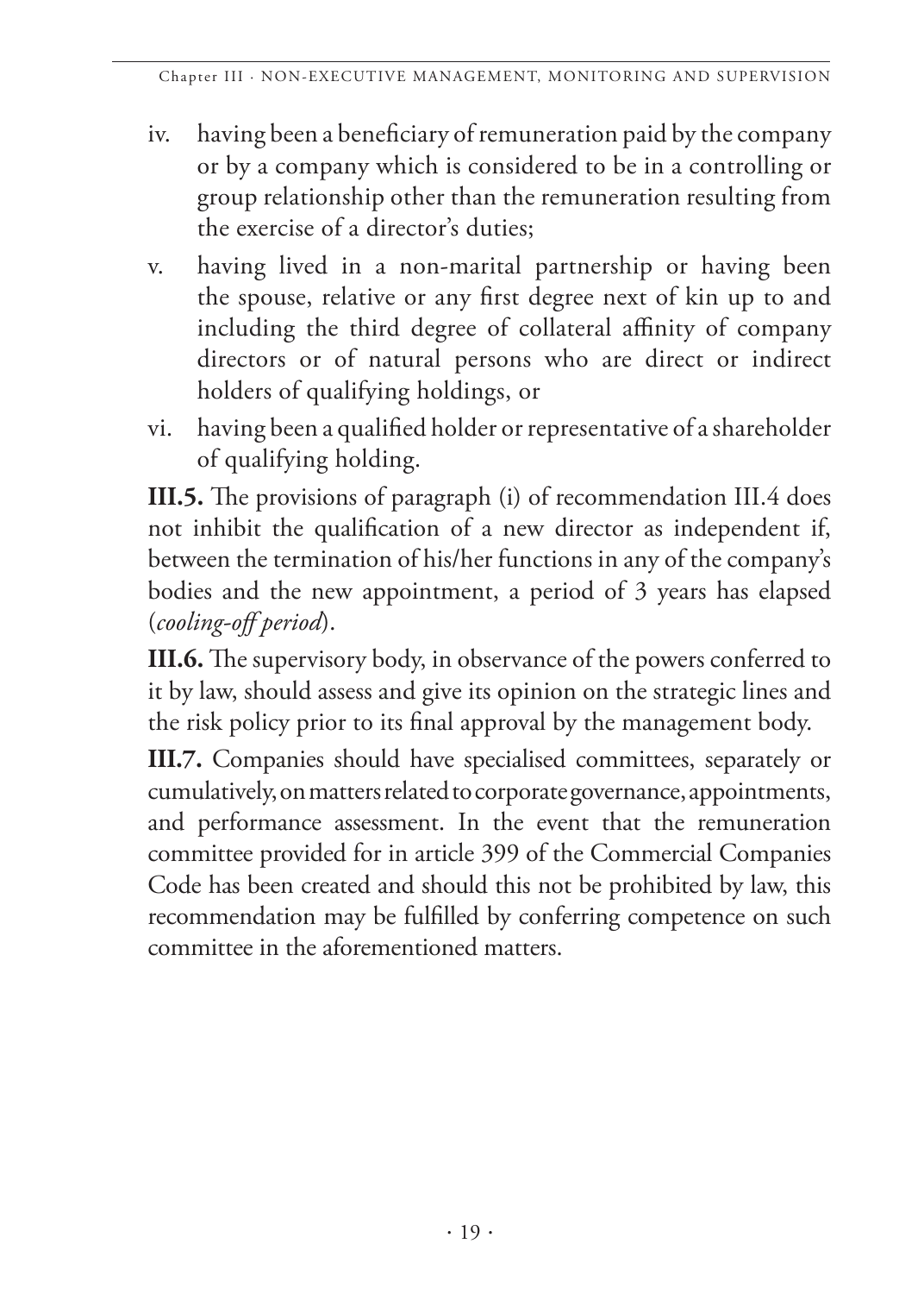- iv. having been a beneficiary of remuneration paid by the company or by a company which is considered to be in a controlling or group relationship other than the remuneration resulting from the exercise of a director's duties;
- v. having lived in a non-marital partnership or having been the spouse, relative or any first degree next of kin up to and including the third degree of collateral affinity of company directors or of natural persons who are direct or indirect holders of qualifying holdings, or
- vi. having been a qualified holder or representative of a shareholder of qualifying holding.

**III.5.** The provisions of paragraph (i) of recommendation III.4 does not inhibit the qualification of a new director as independent if, between the termination of his/her functions in any of the company's bodies and the new appointment, a period of 3 years has elapsed (*cooling-off period*).

**III.6.** The supervisory body, in observance of the powers conferred to it by law, should assess and give its opinion on the strategic lines and the risk policy prior to its final approval by the management body.

**III.7.** Companies should have specialised committees, separately or cumulatively, on matters related to corporate governance, appointments, and performance assessment. In the event that the remuneration committee provided for in article 399 of the Commercial Companies Code has been created and should this not be prohibited by law, this recommendation may be fulfilled by conferring competence on such committee in the aforementioned matters.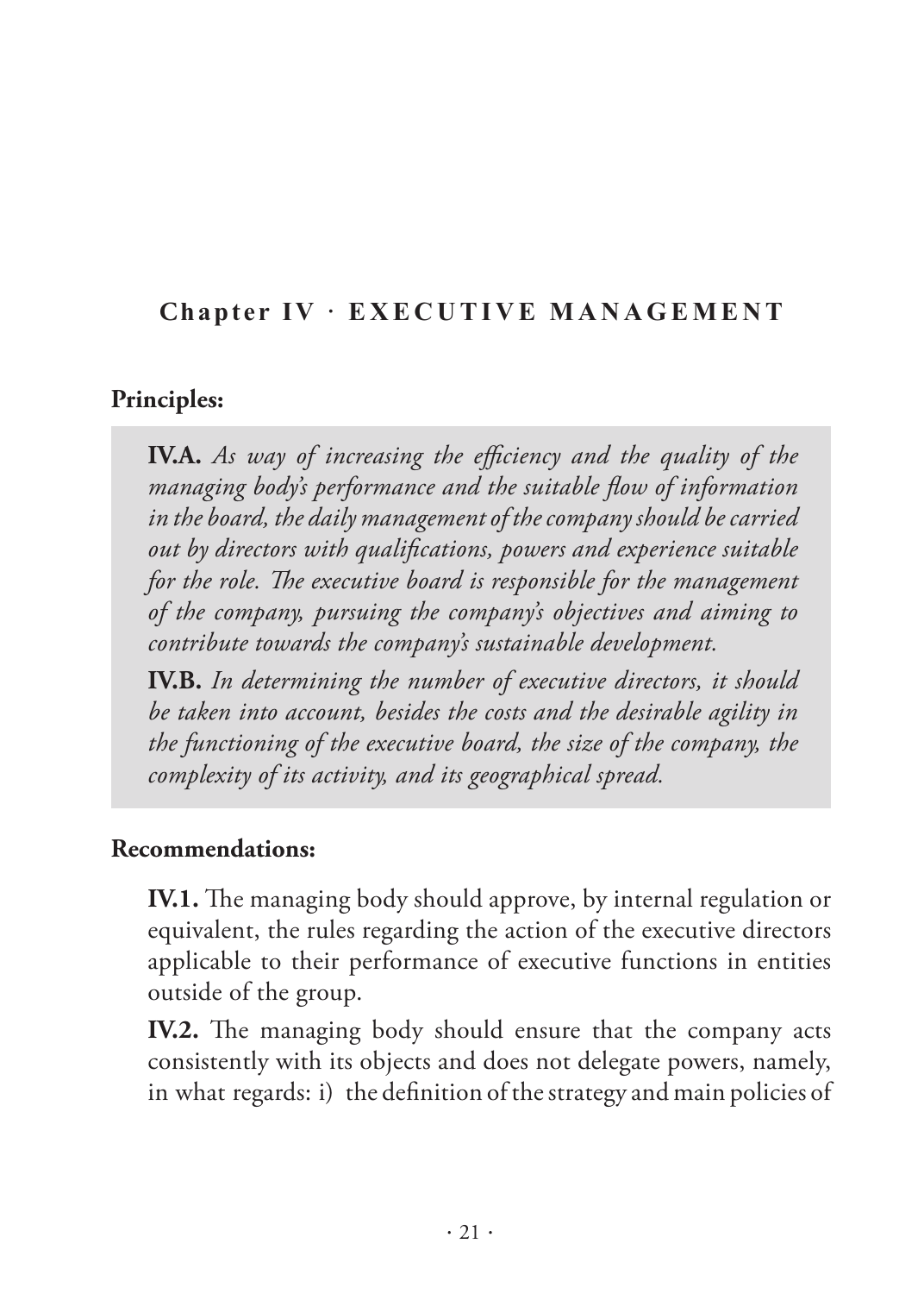## <span id="page-22-0"></span>**Chapter IV · EXECUTIVE MANAGEMENT**

#### **Principles:**

**IV.A.** *As way of increasing the efficiency and the quality of the managing body's performance and the suitable flow of information in the board, the daily management of the company should be carried out by directors with qualifications, powers and experience suitable for the role. The executive board is responsible for the management of the company, pursuing the company's objectives and aiming to contribute towards the company's sustainable development.* 

**IV.B.** *In determining the number of executive directors, it should be taken into account, besides the costs and the desirable agility in the functioning of the executive board, the size of the company, the complexity of its activity, and its geographical spread.* 

#### **Recommendations:**

**IV.1.** The managing body should approve, by internal regulation or equivalent, the rules regarding the action of the executive directors applicable to their performance of executive functions in entities outside of the group.

**IV.2.** The managing body should ensure that the company acts consistently with its objects and does not delegate powers, namely, in what regards: i) the definition of the strategy and main policies of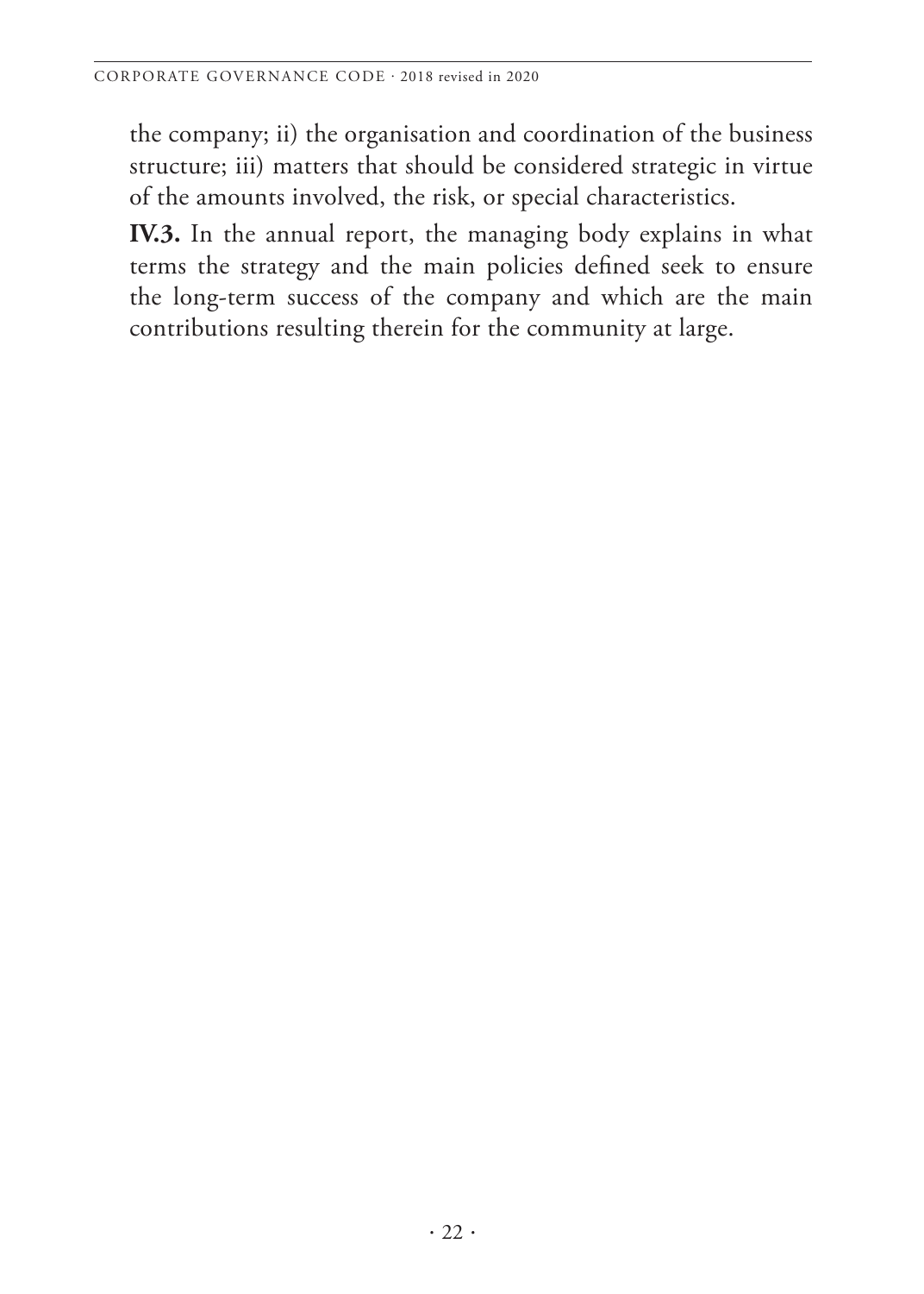the company; ii) the organisation and coordination of the business structure; iii) matters that should be considered strategic in virtue of the amounts involved, the risk, or special characteristics.

**IV.3.** In the annual report, the managing body explains in what terms the strategy and the main policies defined seek to ensure the long-term success of the company and which are the main contributions resulting therein for the community at large.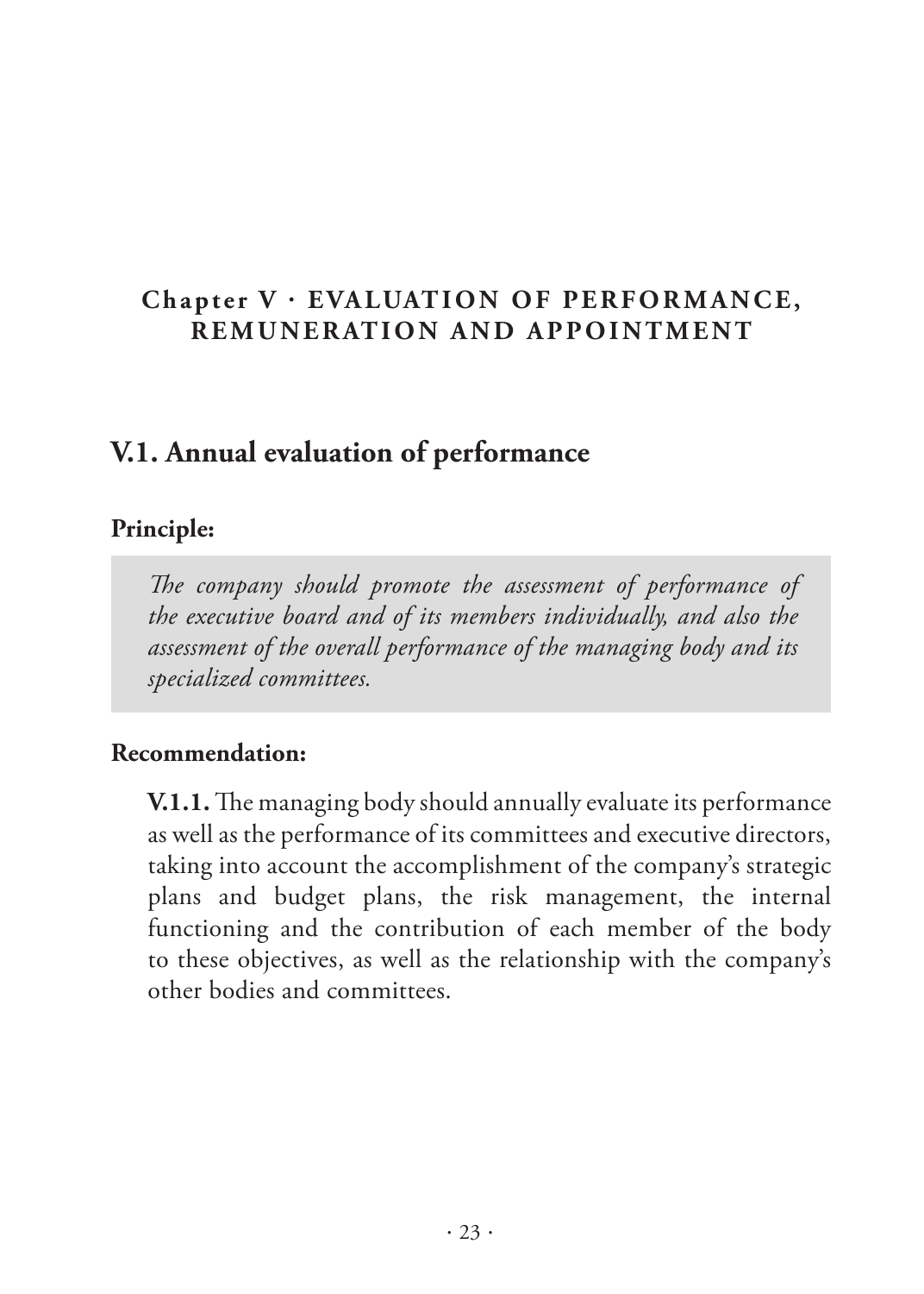## <span id="page-24-0"></span>Chapter V · EVALUATION OF PERFORMANCE, **REMUNERATION AND APPOINTMENT**

## **V.1. Annual evaluation of performance**

#### **Principle:**

*The company should promote the assessment of performance of the executive board and of its members individually, and also the assessment of the overall performance of the managing body and its specialized committees.* 

#### **Recommendation:**

**V.1.1.** The managing body should annually evaluate its performance as well as the performance of its committees and executive directors, taking into account the accomplishment of the company's strategic plans and budget plans, the risk management, the internal functioning and the contribution of each member of the body to these objectives, as well as the relationship with the company's other bodies and committees.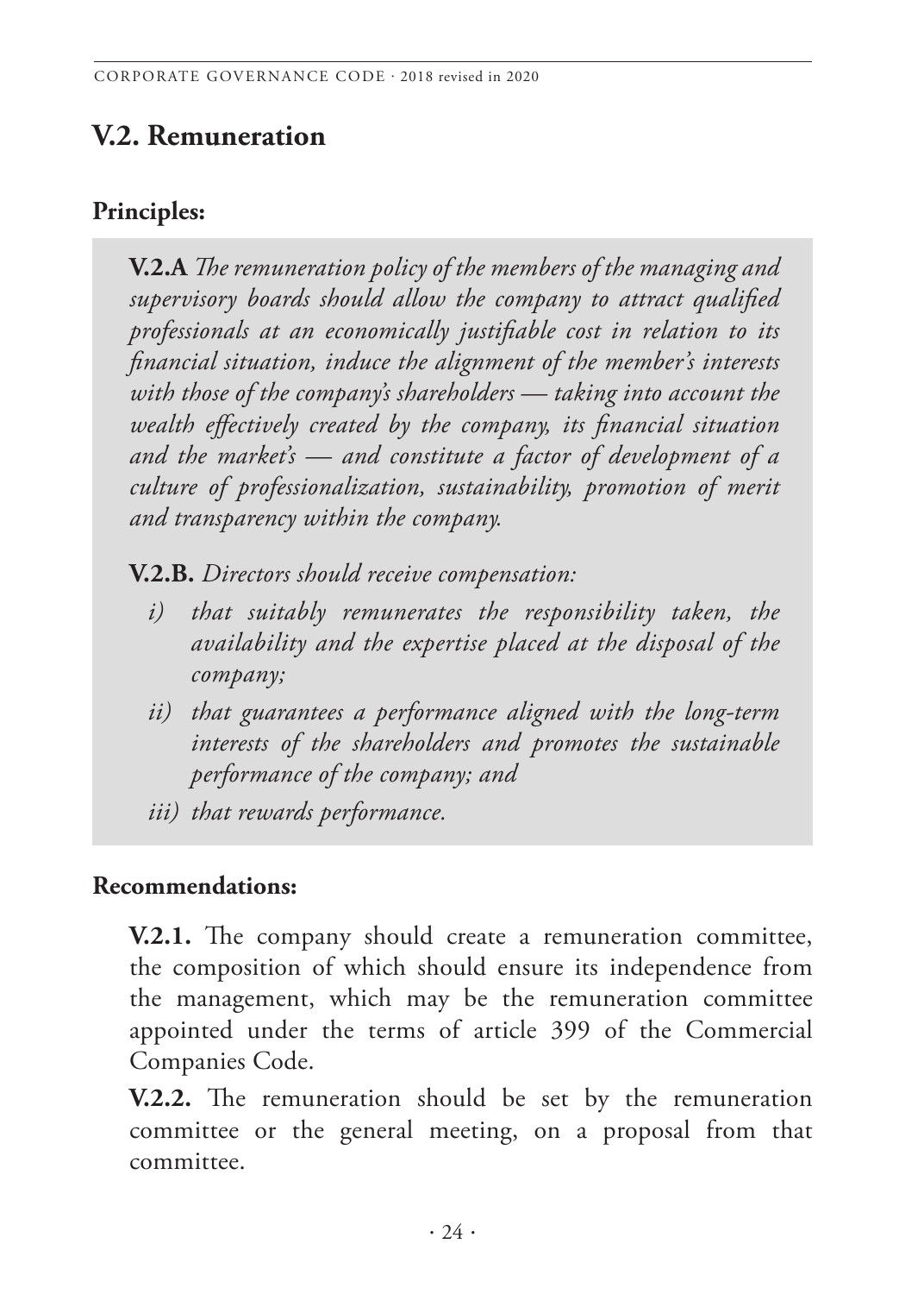# <span id="page-25-0"></span>**V.2. Remuneration**

#### **Principles:**

**V.2.A** *The remuneration policy of the members of the managing and supervisory boards should allow the company to attract qualified professionals at an economically justifiable cost in relation to its financial situation, induce the alignment of the member's interests with those of the company's shareholders — taking into account the wealth effectively created by the company, its financial situation and the market's — and constitute a factor of development of a culture of professionalization, sustainability, promotion of merit and transparency within the company.* 

**V.2.B.** *Directors should receive compensation:*

- *i) that suitably remunerates the responsibility taken, the availability and the expertise placed at the disposal of the company;*
- *ii) that guarantees a performance aligned with the long-term interests of the shareholders and promotes the sustainable performance of the company; and*
- *iii) that rewards performance.*

#### **Recommendations:**

**V.2.1.** The company should create a remuneration committee, the composition of which should ensure its independence from the management, which may be the remuneration committee appointed under the terms of article 399 of the Commercial Companies Code.

**V.2.2.** The remuneration should be set by the remuneration committee or the general meeting, on a proposal from that committee.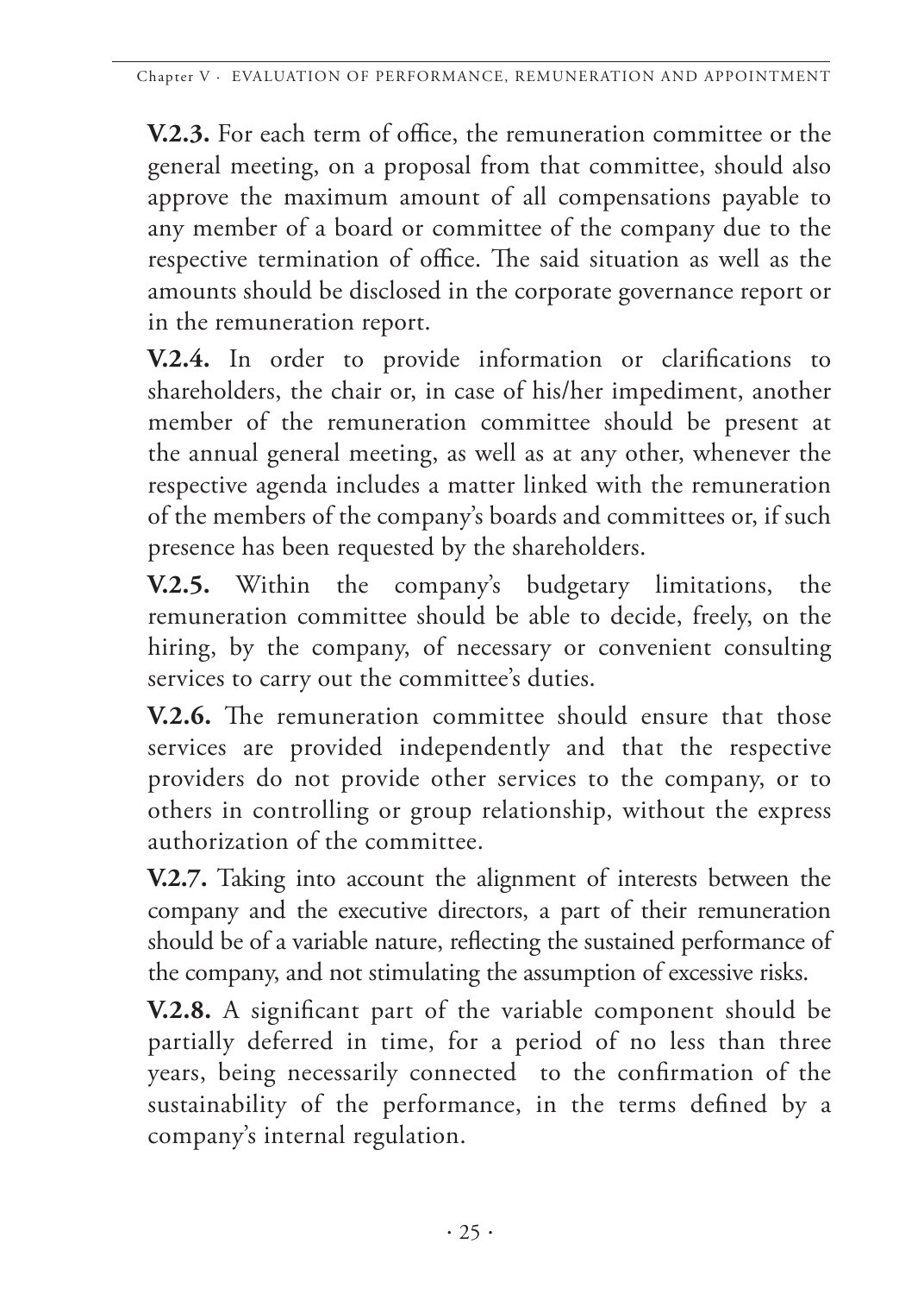**V.2.3.** For each term of office, the remuneration committee or the general meeting, on a proposal from that committee, should also approve the maximum amount of all compensations payable to any member of a board or committee of the company due to the respective termination of office. The said situation as well as the amounts should be disclosed in the corporate governance report or in the remuneration report.

**V.2.4.** In order to provide information or clarifications to shareholders, the chair or, in case of his/her impediment, another member of the remuneration committee should be present at the annual general meeting, as well as at any other, whenever the respective agenda includes a matter linked with the remuneration of the members of the company's boards and committees or, if such presence has been requested by the shareholders.

**V.2.5.** Within the company's budgetary limitations, the remuneration committee should be able to decide, freely, on the hiring, by the company, of necessary or convenient consulting services to carry out the committee's duties.

**V.2.6.** The remuneration committee should ensure that those services are provided independently and that the respective providers do not provide other services to the company, or to others in controlling or group relationship, without the express authorization of the committee.

**V.2.7.** Taking into account the alignment of interests between the company and the executive directors, a part of their remuneration should be of a variable nature, reflecting the sustained performance of the company, and not stimulating the assumption of excessive risks.

**V.2.8.** A significant part of the variable component should be partially deferred in time, for a period of no less than three years, being necessarily connected to the confirmation of the sustainability of the performance, in the terms defined by a company's internal regulation.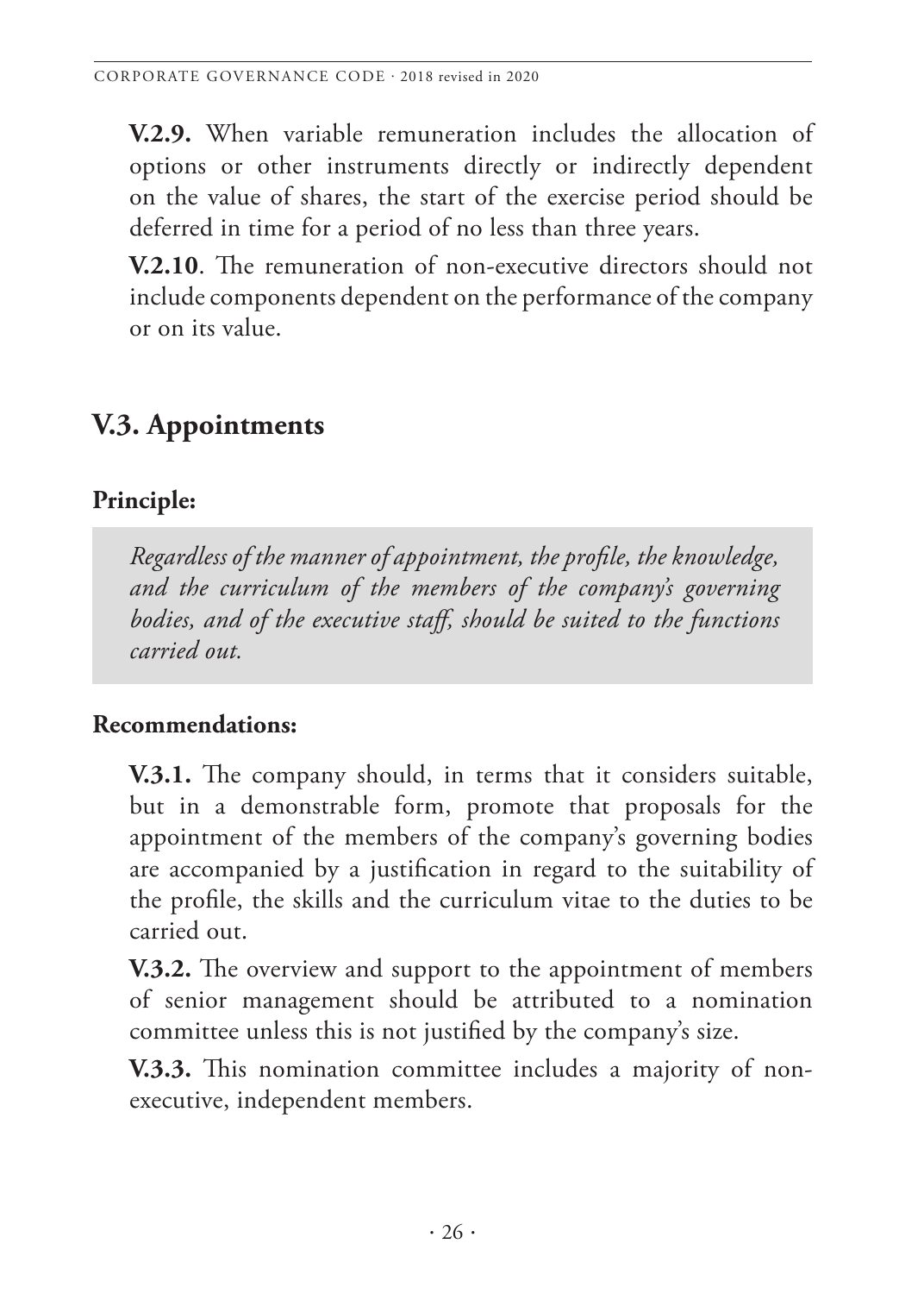**V.2.9.** When variable remuneration includes the allocation of options or other instruments directly or indirectly dependent on the value of shares, the start of the exercise period should be deferred in time for a period of no less than three years.

**V.2.10**. The remuneration of non-executive directors should not include components dependent on the performance of the company or on its value.

# **V.3. Appointments**

## **Principle:**

*Regardless of the manner of appointment, the profile, the knowledge, and the curriculum of the members of the company's governing bodies, and of the executive staff, should be suited to the functions carried out.* 

## **Recommendations:**

**V.3.1.** The company should, in terms that it considers suitable, but in a demonstrable form, promote that proposals for the appointment of the members of the company's governing bodies are accompanied by a justification in regard to the suitability of the profile, the skills and the curriculum vitae to the duties to be carried out.

**V.3.2.** The overview and support to the appointment of members of senior management should be attributed to a nomination committee unless this is not justified by the company's size.

**V.3.3.** This nomination committee includes a majority of nonexecutive, independent members.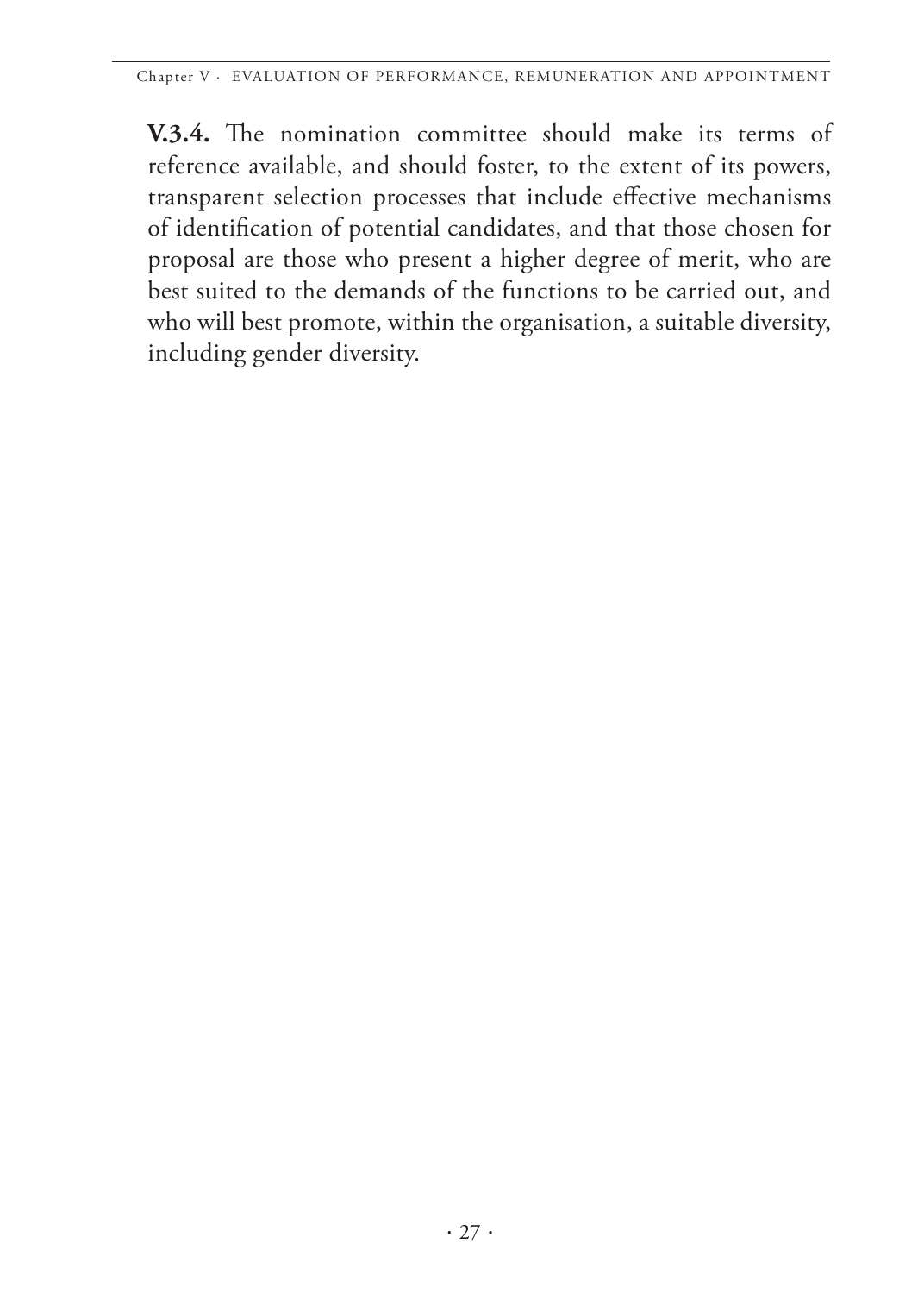<span id="page-28-0"></span>**V.3.4.** The nomination committee should make its terms of reference available, and should foster, to the extent of its powers, transparent selection processes that include effective mechanisms of identification of potential candidates, and that those chosen for proposal are those who present a higher degree of merit, who are best suited to the demands of the functions to be carried out, and who will best promote, within the organisation, a suitable diversity, including gender diversity.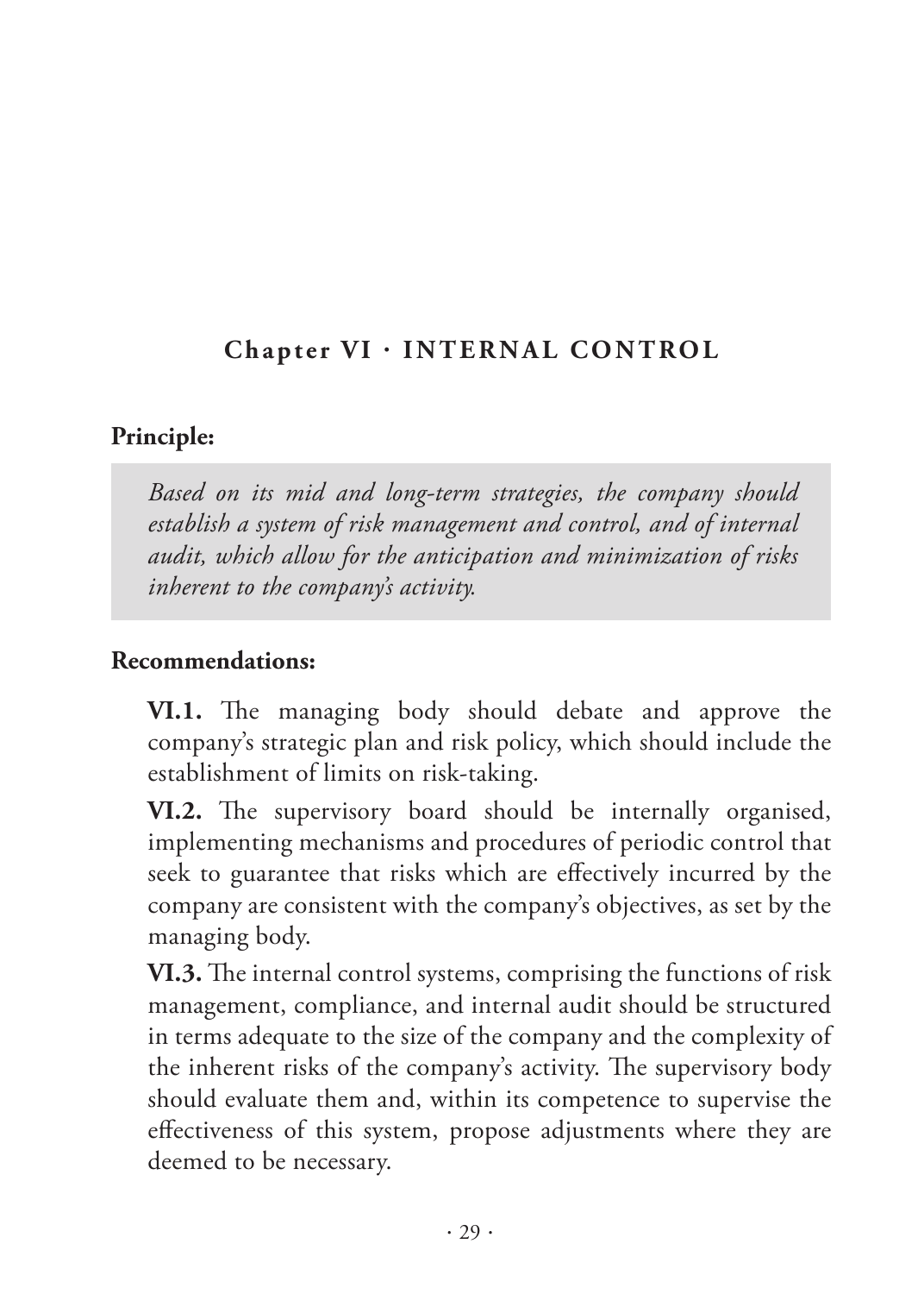## <span id="page-30-0"></span>**Chapter VI · INTERNAL CONTROL**

#### **Principle:**

*Based on its mid and long-term strategies, the company should establish a system of risk management and control, and of internal audit, which allow for the anticipation and minimization of risks inherent to the company's activity.* 

#### **Recommendations:**

**VI.1.** The managing body should debate and approve the company's strategic plan and risk policy, which should include the establishment of limits on risk-taking.

**VI.2.** The supervisory board should be internally organised, implementing mechanisms and procedures of periodic control that seek to guarantee that risks which are effectively incurred by the company are consistent with the company's objectives, as set by the managing body.

**VI.3.** The internal control systems, comprising the functions of risk management, compliance, and internal audit should be structured in terms adequate to the size of the company and the complexity of the inherent risks of the company's activity. The supervisory body should evaluate them and, within its competence to supervise the effectiveness of this system, propose adjustments where they are deemed to be necessary.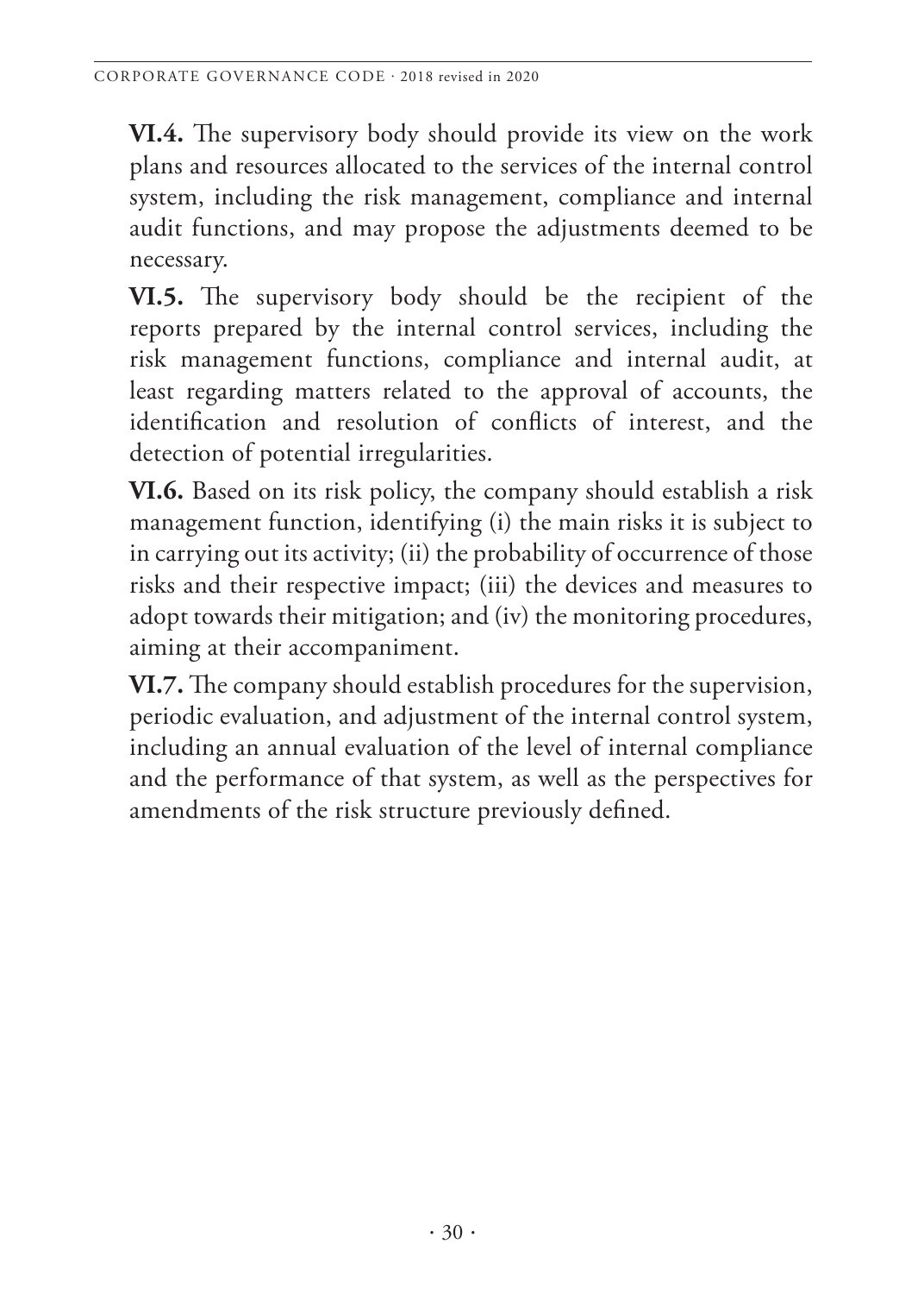**VI.4.** The supervisory body should provide its view on the work plans and resources allocated to the services of the internal control system, including the risk management, compliance and internal audit functions, and may propose the adjustments deemed to be necessary.

**VI.5.** The supervisory body should be the recipient of the reports prepared by the internal control services, including the risk management functions, compliance and internal audit, at least regarding matters related to the approval of accounts, the identification and resolution of conflicts of interest, and the detection of potential irregularities.

**VI.6.** Based on its risk policy, the company should establish a risk management function, identifying (i) the main risks it is subject to in carrying out its activity; (ii) the probability of occurrence of those risks and their respective impact; (iii) the devices and measures to adopt towards their mitigation; and (iv) the monitoring procedures, aiming at their accompaniment.

**VI.7.** The company should establish procedures for the supervision, periodic evaluation, and adjustment of the internal control system, including an annual evaluation of the level of internal compliance and the performance of that system, as well as the perspectives for amendments of the risk structure previously defined.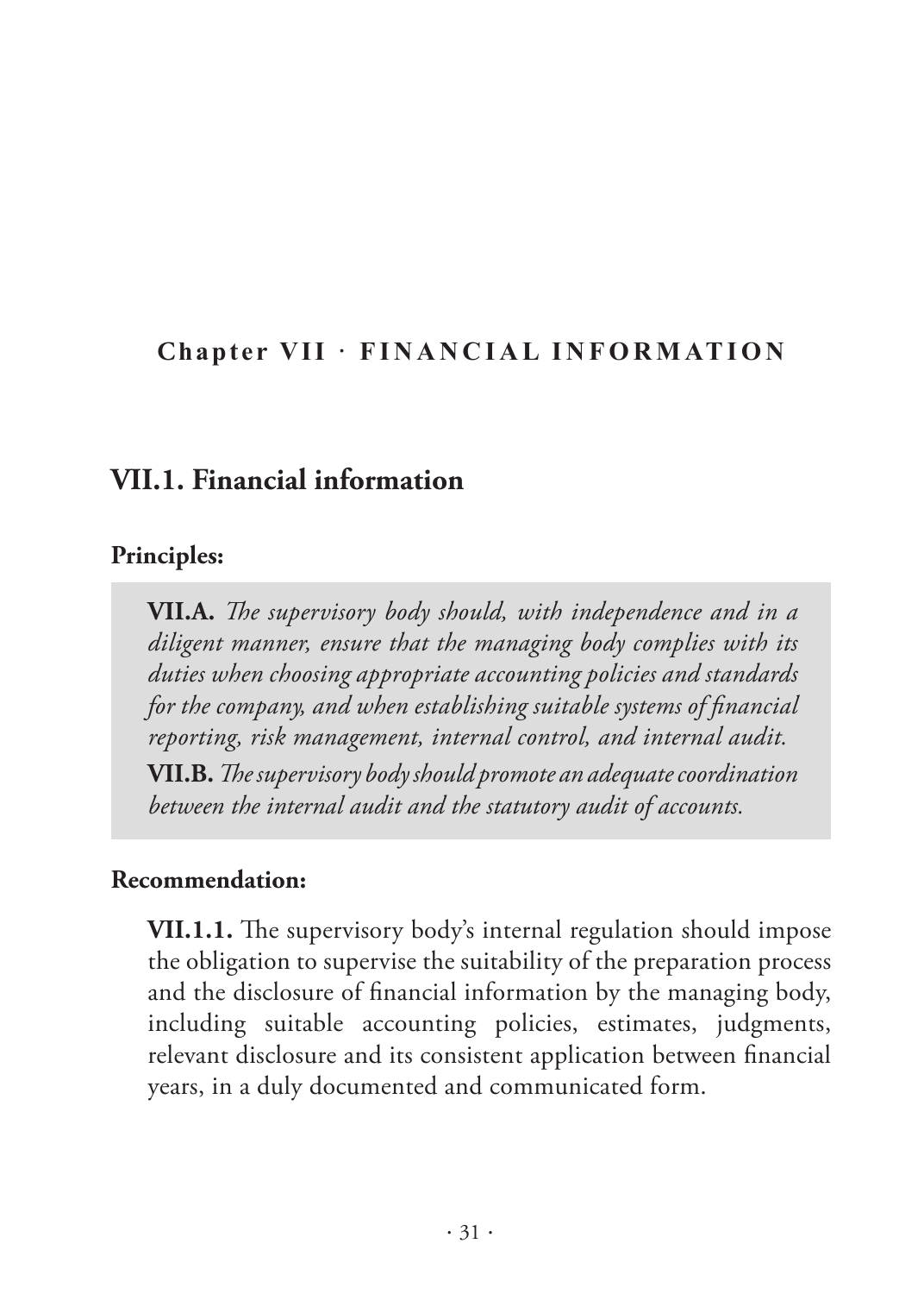#### <span id="page-32-0"></span>**Chapter VII · FINANCIAL INFORMATION**

#### **VII.1. Financial information**

#### **Principles:**

**VII.A.** *The supervisory body should, with independence and in a diligent manner, ensure that the managing body complies with its duties when choosing appropriate accounting policies and standards for the company, and when establishing suitable systems of financial reporting, risk management, internal control, and internal audit.* 

**VII.B.** *The supervisory body should promote an adequate coordination between the internal audit and the statutory audit of accounts.* 

#### **Recommendation:**

**VII.1.1.** The supervisory body's internal regulation should impose the obligation to supervise the suitability of the preparation process and the disclosure of financial information by the managing body, including suitable accounting policies, estimates, judgments, relevant disclosure and its consistent application between financial years, in a duly documented and communicated form.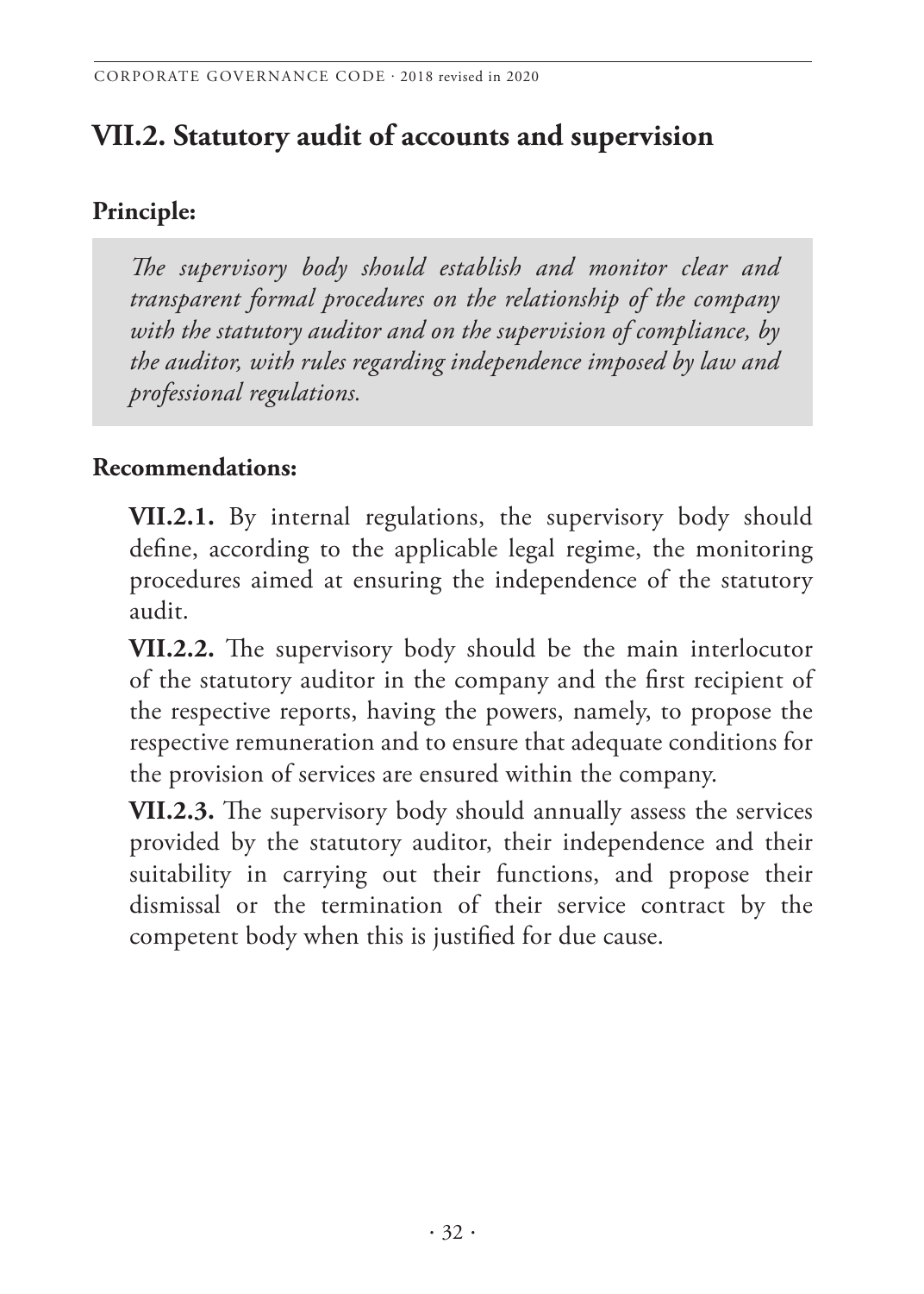# **VII.2. Statutory audit of accounts and supervision**

## **Principle:**

*The supervisory body should establish and monitor clear and transparent formal procedures on the relationship of the company with the statutory auditor and on the supervision of compliance, by the auditor, with rules regarding independence imposed by law and professional regulations.* 

#### **Recommendations:**

**VII.2.1.** By internal regulations, the supervisory body should define, according to the applicable legal regime, the monitoring procedures aimed at ensuring the independence of the statutory audit.

**VII.2.2.** The supervisory body should be the main interlocutor of the statutory auditor in the company and the first recipient of the respective reports, having the powers, namely, to propose the respective remuneration and to ensure that adequate conditions for the provision of services are ensured within the company.

**VII.2.3.** The supervisory body should annually assess the services provided by the statutory auditor, their independence and their suitability in carrying out their functions, and propose their dismissal or the termination of their service contract by the competent body when this is justified for due cause.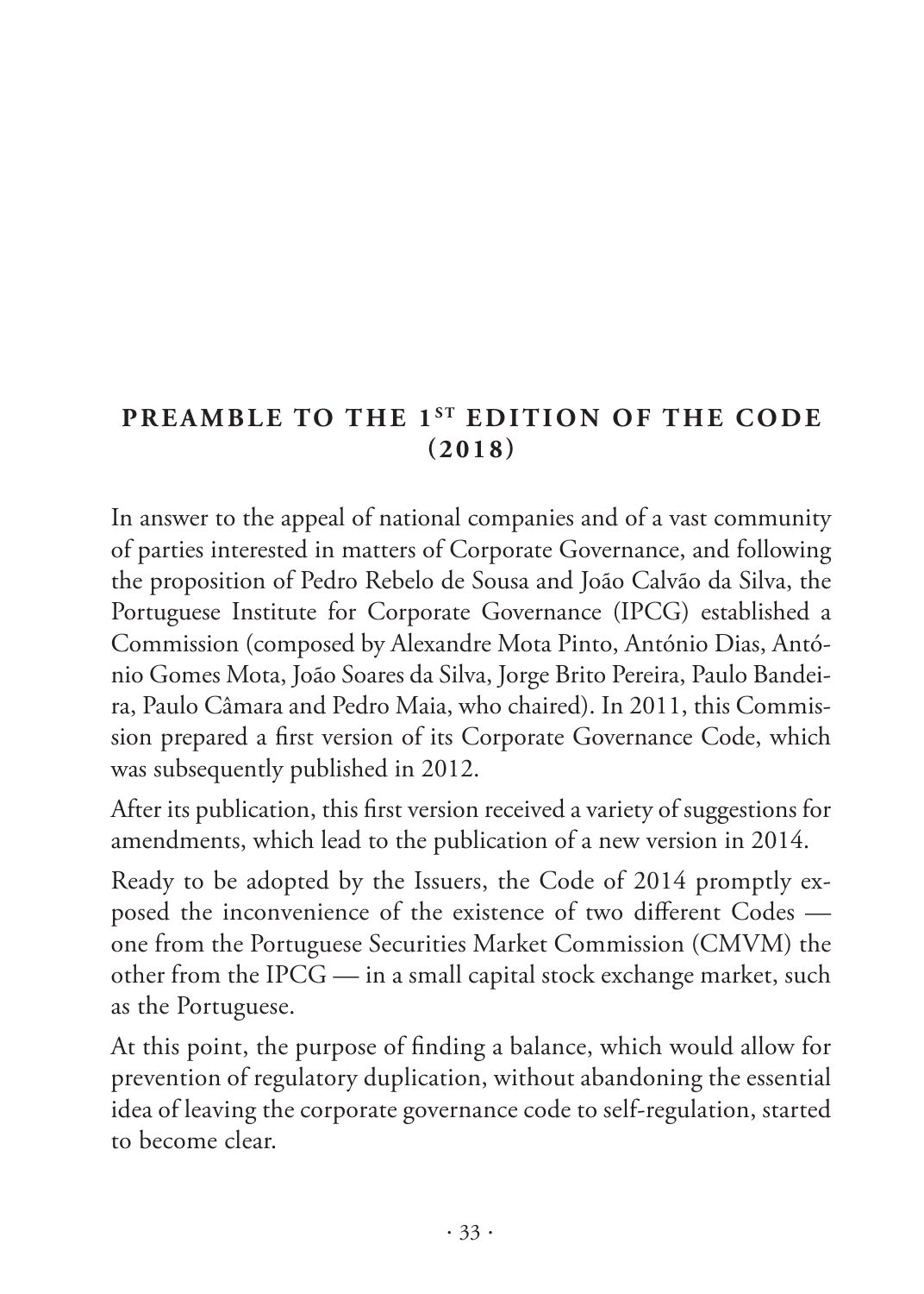## **PREAMBLE TO THE 1ST EDITION OF THE CODE (2018)**

In answer to the appeal of national companies and of a vast community of parties interested in matters of Corporate Governance, and following the proposition of Pedro Rebelo de Sousa and João Calvão da Silva, the Portuguese Institute for Corporate Governance (IPCG) established a Commission (composed by Alexandre Mota Pinto, António Dias, António Gomes Mota, João Soares da Silva, Jorge Brito Pereira, Paulo Bandeira, Paulo Câmara and Pedro Maia, who chaired). In 2011, this Commission prepared a first version of its Corporate Governance Code, which was subsequently published in 2012.

After its publication, this first version received a variety of suggestions for amendments, which lead to the publication of a new version in 2014.

Ready to be adopted by the Issuers, the Code of 2014 promptly exposed the inconvenience of the existence of two different Codes one from the Portuguese Securities Market Commission (CMVM) the other from the IPCG — in a small capital stock exchange market, such as the Portuguese.

At this point, the purpose of finding a balance, which would allow for prevention of regulatory duplication, without abandoning the essential idea of leaving the corporate governance code to self-regulation, started to become clear.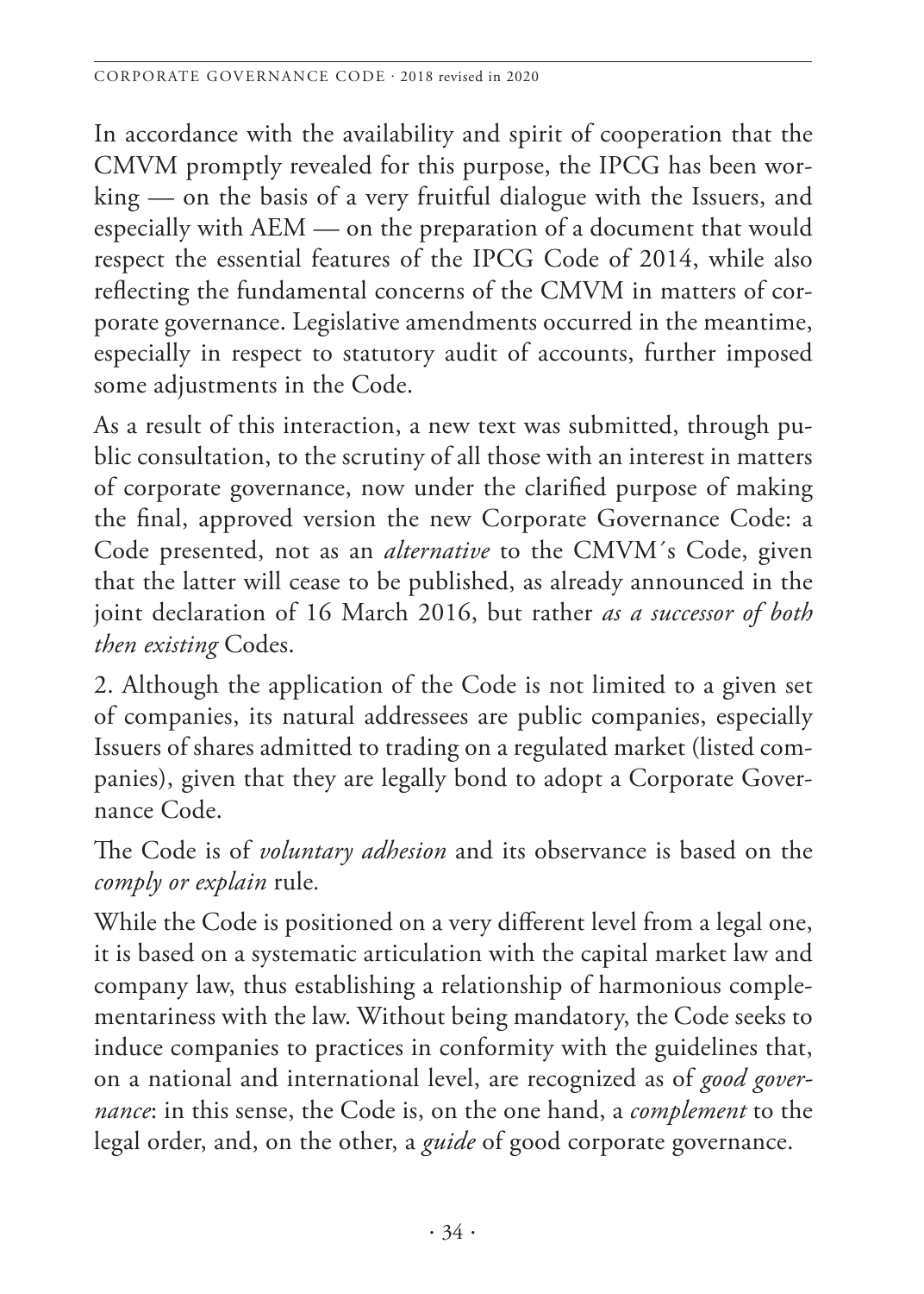In accordance with the availability and spirit of cooperation that the CMVM promptly revealed for this purpose, the IPCG has been working — on the basis of a very fruitful dialogue with the Issuers, and especially with AEM — on the preparation of a document that would respect the essential features of the IPCG Code of 2014, while also reflecting the fundamental concerns of the CMVM in matters of corporate governance. Legislative amendments occurred in the meantime, especially in respect to statutory audit of accounts, further imposed some adjustments in the Code.

As a result of this interaction, a new text was submitted, through public consultation, to the scrutiny of all those with an interest in matters of corporate governance, now under the clarified purpose of making the final, approved version the new Corporate Governance Code: a Code presented, not as an *alternative* to the CMVM´s Code, given that the latter will cease to be published, as already announced in the joint declaration of 16 March 2016, but rather *as a successor of both then existing* Codes.

2. Although the application of the Code is not limited to a given set of companies, its natural addressees are public companies, especially Issuers of shares admitted to trading on a regulated market (listed companies), given that they are legally bond to adopt a Corporate Governance Code.

The Code is of *voluntary adhesion* and its observance is based on the *comply or explain* rule*.*

While the Code is positioned on a very different level from a legal one, it is based on a systematic articulation with the capital market law and company law, thus establishing a relationship of harmonious complementariness with the law. Without being mandatory, the Code seeks to induce companies to practices in conformity with the guidelines that, on a national and international level, are recognized as of *good governance*: in this sense, the Code is, on the one hand, a *complement* to the legal order, and, on the other, a *guide* of good corporate governance.